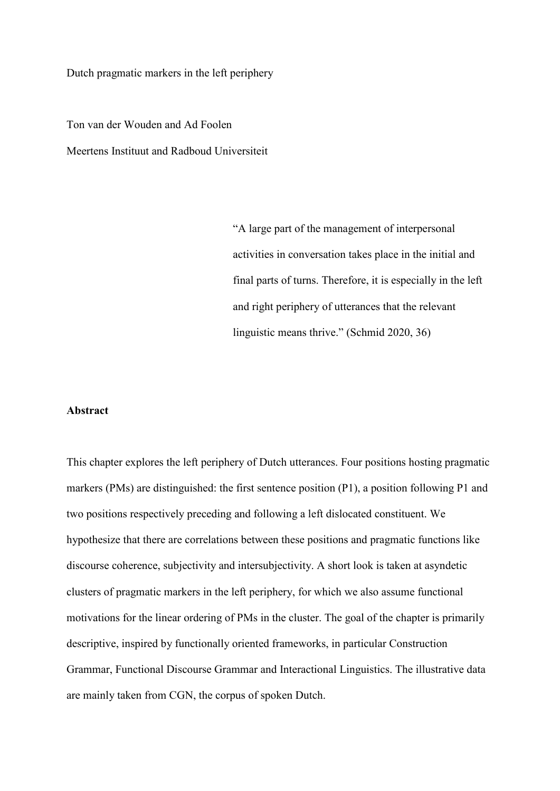Dutch pragmatic markers in the left periphery

Ton van der Wouden and Ad Foolen Meertens Instituut and Radboud Universiteit

> "A large part of the management of interpersonal activities in conversation takes place in the initial and final parts of turns. Therefore, it is especially in the left and right periphery of utterances that the relevant linguistic means thrive." (Schmid 2020, 36)

#### **Abstract**

This chapter explores the left periphery of Dutch utterances. Four positions hosting pragmatic markers (PMs) are distinguished: the first sentence position (P1), a position following P1 and two positions respectively preceding and following a left dislocated constituent. We hypothesize that there are correlations between these positions and pragmatic functions like discourse coherence, subjectivity and intersubjectivity. A short look is taken at asyndetic clusters of pragmatic markers in the left periphery, for which we also assume functional motivations for the linear ordering of PMs in the cluster. The goal of the chapter is primarily descriptive, inspired by functionally oriented frameworks, in particular Construction Grammar, Functional Discourse Grammar and Interactional Linguistics. The illustrative data are mainly taken from CGN, the corpus of spoken Dutch.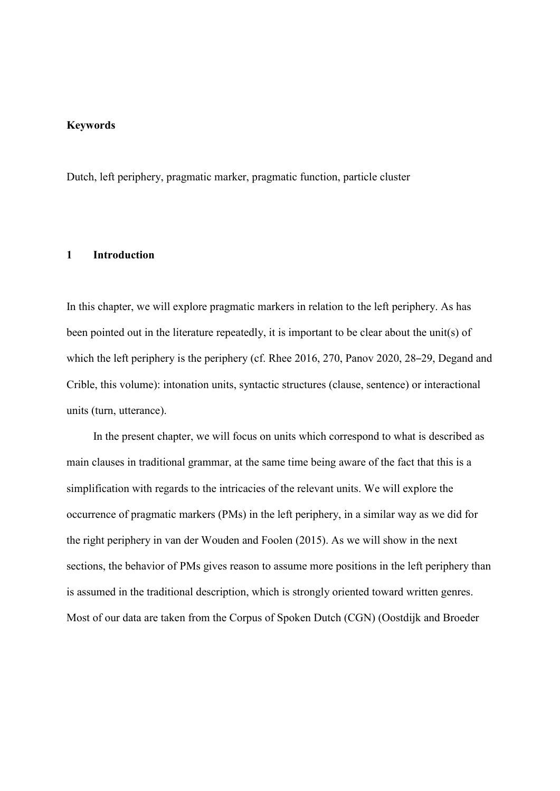### **Keywords**

Dutch, left periphery, pragmatic marker, pragmatic function, particle cluster

# **1 Introduction**

In this chapter, we will explore pragmatic markers in relation to the left periphery. As has been pointed out in the literature repeatedly, it is important to be clear about the unit(s) of which the left periphery is the periphery (cf. Rhee 2016, 270, Panov 2020, 28–29, Degand and Crible, this volume): intonation units, syntactic structures (clause, sentence) or interactional units (turn, utterance).

In the present chapter, we will focus on units which correspond to what is described as main clauses in traditional grammar, at the same time being aware of the fact that this is a simplification with regards to the intricacies of the relevant units. We will explore the occurrence of pragmatic markers (PMs) in the left periphery, in a similar way as we did for the right periphery in van der Wouden and Foolen (2015). As we will show in the next sections, the behavior of PMs gives reason to assume more positions in the left periphery than is assumed in the traditional description, which is strongly oriented toward written genres. Most of our data are taken from the Corpus of Spoken Dutch (CGN) (Oostdijk and Broeder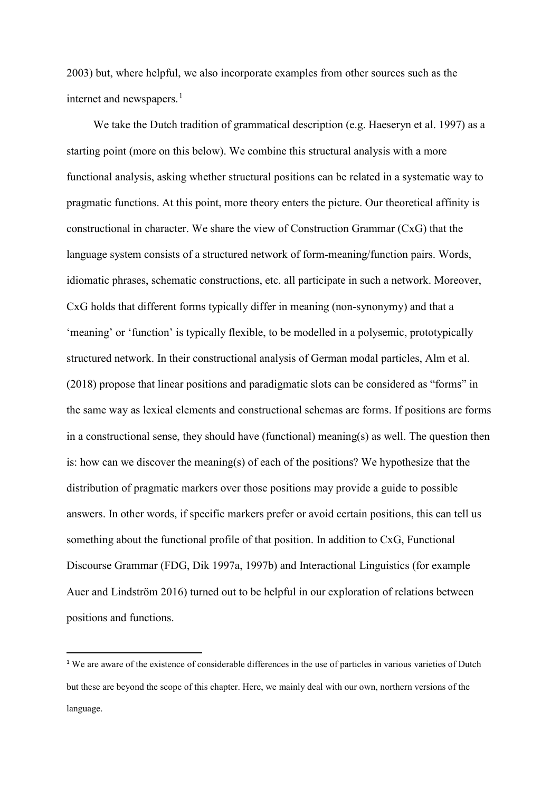2003) but, where helpful, we also incorporate examples from other sources such as the internet and newspapers. $<sup>1</sup>$  $<sup>1</sup>$  $<sup>1</sup>$ </sup>

We take the Dutch tradition of grammatical description (e.g. Haeseryn et al. 1997) as a starting point (more on this below). We combine this structural analysis with a more functional analysis, asking whether structural positions can be related in a systematic way to pragmatic functions. At this point, more theory enters the picture. Our theoretical affinity is constructional in character. We share the view of Construction Grammar (CxG) that the language system consists of a structured network of form-meaning/function pairs. Words, idiomatic phrases, schematic constructions, etc. all participate in such a network. Moreover, CxG holds that different forms typically differ in meaning (non-synonymy) and that a 'meaning' or 'function' is typically flexible, to be modelled in a polysemic, prototypically structured network. In their constructional analysis of German modal particles, Alm et al. (2018) propose that linear positions and paradigmatic slots can be considered as "forms" in the same way as lexical elements and constructional schemas are forms. If positions are forms in a constructional sense, they should have (functional) meaning(s) as well. The question then is: how can we discover the meaning(s) of each of the positions? We hypothesize that the distribution of pragmatic markers over those positions may provide a guide to possible answers. In other words, if specific markers prefer or avoid certain positions, this can tell us something about the functional profile of that position. In addition to CxG, Functional Discourse Grammar (FDG, Dik 1997a, 1997b) and Interactional Linguistics (for example Auer and Lindström 2016) turned out to be helpful in our exploration of relations between positions and functions.

<span id="page-2-0"></span><sup>&</sup>lt;sup>1</sup> We are aware of the existence of considerable differences in the use of particles in various varieties of Dutch but these are beyond the scope of this chapter. Here, we mainly deal with our own, northern versions of the language.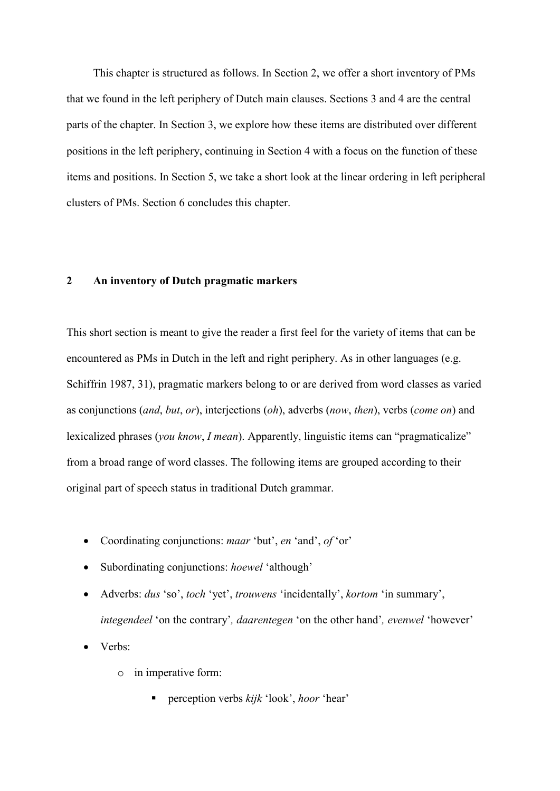This chapter is structured as follows. In Section 2, we offer a short inventory of PMs that we found in the left periphery of Dutch main clauses. Sections 3 and 4 are the central parts of the chapter. In Section 3, we explore how these items are distributed over different positions in the left periphery, continuing in Section 4 with a focus on the function of these items and positions. In Section 5, we take a short look at the linear ordering in left peripheral clusters of PMs. Section 6 concludes this chapter.

## **2 An inventory of Dutch pragmatic markers**

This short section is meant to give the reader a first feel for the variety of items that can be encountered as PMs in Dutch in the left and right periphery. As in other languages (e.g. Schiffrin 1987, 31), pragmatic markers belong to or are derived from word classes as varied as conjunctions (*and*, *but*, *or*), interjections (*oh*), adverbs (*now*, *then*), verbs (*come on*) and lexicalized phrases (*you know*, *I mean*). Apparently, linguistic items can "pragmaticalize" from a broad range of word classes. The following items are grouped according to their original part of speech status in traditional Dutch grammar.

- Coordinating conjunctions: *maar* 'but', *en* 'and', *of* 'or'
- Subordinating conjunctions: *hoewel* 'although'
- Adverbs: *dus* 'so', *toch* 'yet', *trouwens* 'incidentally', *kortom* 'in summary', *integendeel* 'on the contrary'*, daarentegen* 'on the other hand'*, evenwel* 'however'

• Verbs:

- o in imperative form:
	- perception verbs *kijk* 'look', *hoor* 'hear'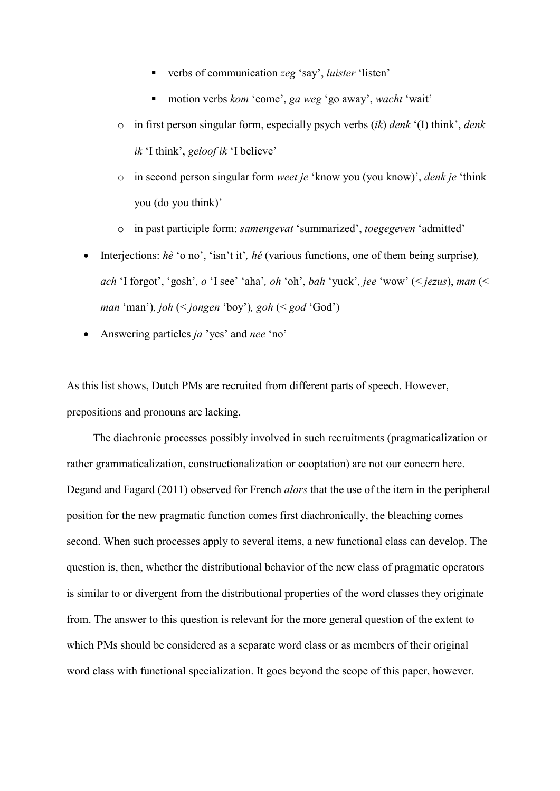- verbs of communication *zeg* 'say', *luister* 'listen'
- motion verbs *kom* 'come', *ga weg* 'go away', *wacht* 'wait'
- o in first person singular form, especially psych verbs (*ik*) *denk* '(I) think', *denk ik* 'I think', *geloof ik* 'I believe'
- o in second person singular form *weet je* 'know you (you know)', *denk je* 'think you (do you think)'
- in past participle form: *samengevat* 'summarized', *toegegeven* 'admitted'
- Interjections: *hè* 'o no', 'isn't it'*, hé* (various functions, one of them being surprise)*, ach* 'I forgot', 'gosh'*, o* 'I see' 'aha'*, oh* 'oh', *bah* 'yuck'*, jee* 'wow' (< *jezus*), *man* (< *man* 'man')*, joh* (< *jongen* 'boy')*, goh* (< *god* 'God')
- Answering particles *ja* 'yes' and *nee* 'no'

As this list shows, Dutch PMs are recruited from different parts of speech. However, prepositions and pronouns are lacking.

The diachronic processes possibly involved in such recruitments (pragmaticalization or rather grammaticalization, constructionalization or cooptation) are not our concern here. Degand and Fagard (2011) observed for French *alors* that the use of the item in the peripheral position for the new pragmatic function comes first diachronically, the bleaching comes second. When such processes apply to several items, a new functional class can develop. The question is, then, whether the distributional behavior of the new class of pragmatic operators is similar to or divergent from the distributional properties of the word classes they originate from. The answer to this question is relevant for the more general question of the extent to which PMs should be considered as a separate word class or as members of their original word class with functional specialization. It goes beyond the scope of this paper, however.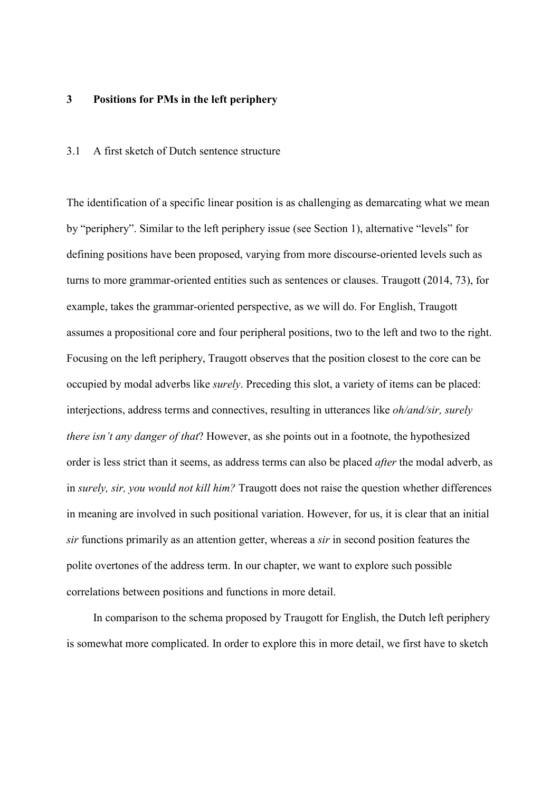# **3 Positions for PMs in the left periphery**

## 3.1 A first sketch of Dutch sentence structure

The identification of a specific linear position is as challenging as demarcating what we mean by "periphery". Similar to the left periphery issue (see Section 1), alternative "levels" for defining positions have been proposed, varying from more discourse-oriented levels such as turns to more grammar-oriented entities such as sentences or clauses. Traugott (2014, 73), for example, takes the grammar-oriented perspective, as we will do. For English, Traugott assumes a propositional core and four peripheral positions, two to the left and two to the right. Focusing on the left periphery, Traugott observes that the position closest to the core can be occupied by modal adverbs like *surely*. Preceding this slot, a variety of items can be placed: interjections, address terms and connectives, resulting in utterances like *oh/and/sir, surely there isn't any danger of that*? However, as she points out in a footnote, the hypothesized order is less strict than it seems, as address terms can also be placed *after* the modal adverb, as in *surely, sir, you would not kill him?* Traugott does not raise the question whether differences in meaning are involved in such positional variation. However, for us, it is clear that an initial *sir* functions primarily as an attention getter, whereas a *sir* in second position features the polite overtones of the address term. In our chapter, we want to explore such possible correlations between positions and functions in more detail.

In comparison to the schema proposed by Traugott for English, the Dutch left periphery is somewhat more complicated. In order to explore this in more detail, we first have to sketch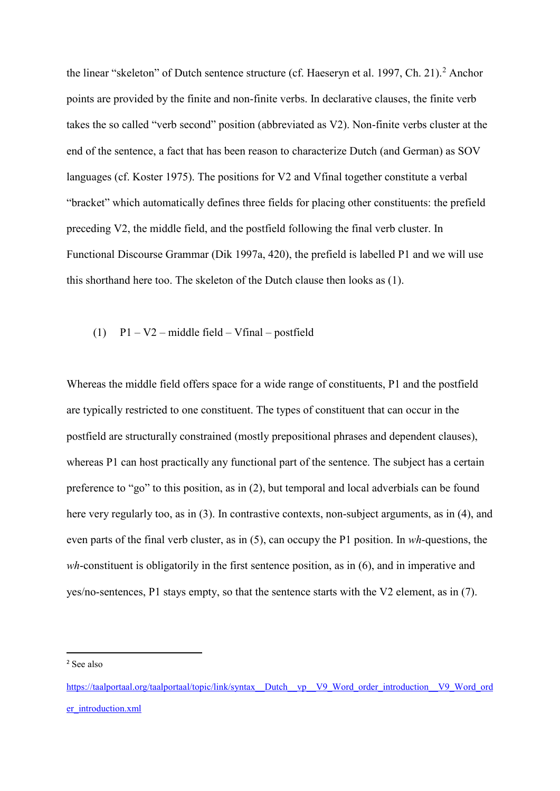the linear "skeleton" of Dutch sentence structure (cf. Haeseryn et al. 1997, Ch. [2](#page-6-0)1).<sup>2</sup> Anchor points are provided by the finite and non-finite verbs. In declarative clauses, the finite verb takes the so called "verb second" position (abbreviated as V2). Non-finite verbs cluster at the end of the sentence, a fact that has been reason to characterize Dutch (and German) as SOV languages (cf. Koster 1975). The positions for V2 and Vfinal together constitute a verbal "bracket" which automatically defines three fields for placing other constituents: the prefield preceding V2, the middle field, and the postfield following the final verb cluster. In Functional Discourse Grammar (Dik 1997a, 420), the prefield is labelled P1 and we will use this shorthand here too. The skeleton of the Dutch clause then looks as (1).

#### (1)  $P1 - V2$  – middle field – Vfinal – postfield

Whereas the middle field offers space for a wide range of constituents, P1 and the postfield are typically restricted to one constituent. The types of constituent that can occur in the postfield are structurally constrained (mostly prepositional phrases and dependent clauses), whereas P1 can host practically any functional part of the sentence. The subject has a certain preference to "go" to this position, as in (2), but temporal and local adverbials can be found here very regularly too, as in (3). In contrastive contexts, non-subject arguments, as in (4), and even parts of the final verb cluster, as in (5), can occupy the P1 position. In *wh*-questions, the *wh*-constituent is obligatorily in the first sentence position, as in (6), and in imperative and yes/no-sentences, P1 stays empty, so that the sentence starts with the V2 element, as in (7).

<span id="page-6-0"></span> <sup>2</sup> See also

[https://taalportaal.org/taalportaal/topic/link/syntax\\_\\_Dutch\\_\\_vp\\_\\_V9\\_Word\\_order\\_introduction\\_\\_V9\\_Word\\_ord](https://taalportaal.org/taalportaal/topic/link/syntax__Dutch__vp__V9_Word_order_introduction__V9_Word_order_introduction.xml) [er\\_introduction.xml](https://taalportaal.org/taalportaal/topic/link/syntax__Dutch__vp__V9_Word_order_introduction__V9_Word_order_introduction.xml)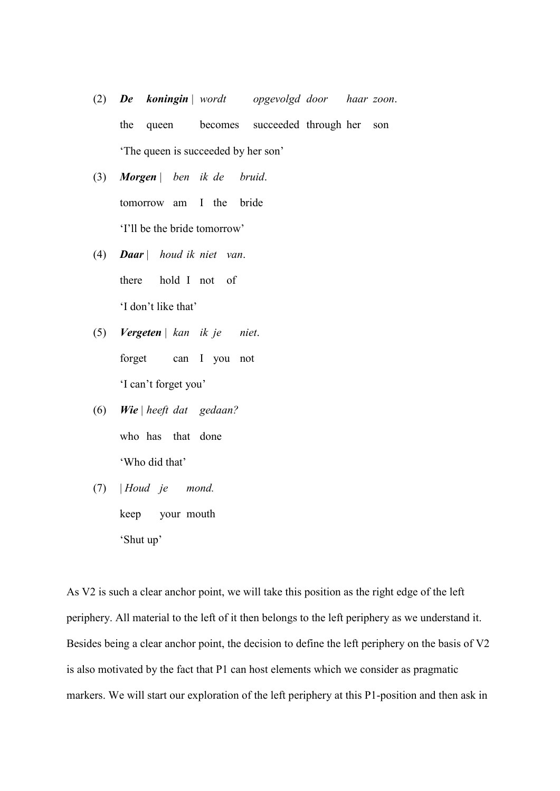- (2) *De koningin* | *wordt opgevolgd door haar zoon*. the queen becomes succeeded through her son 'The queen is succeeded by her son'
- (3) *Morgen* | *ben ik de bruid*. tomorrow am I the bride 'I'll be the bride tomorrow'
- (4) *Daar* | *houd ik niet van*. there hold I not of 'I don't like that'
- (5) *Vergeten* | *kan ik je niet*. forget can I you not 'I can't forget you'
- (6) *Wie* | *heeft dat gedaan?* who has that done 'Who did that'
- (7) | *Houd je mond.* keep your mouth 'Shut up'

As V2 is such a clear anchor point, we will take this position as the right edge of the left periphery. All material to the left of it then belongs to the left periphery as we understand it. Besides being a clear anchor point, the decision to define the left periphery on the basis of V2 is also motivated by the fact that P1 can host elements which we consider as pragmatic markers. We will start our exploration of the left periphery at this P1-position and then ask in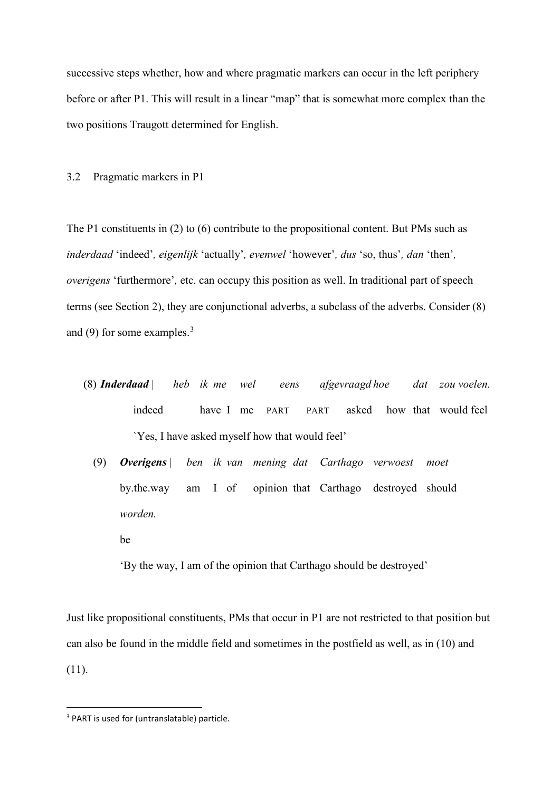successive steps whether, how and where pragmatic markers can occur in the left periphery before or after P1. This will result in a linear "map" that is somewhat more complex than the two positions Traugott determined for English.

#### 3.2 Pragmatic markers in P1

The P1 constituents in (2) to (6) contribute to the propositional content. But PMs such as *inderdaad* 'indeed'*, eigenlijk* 'actually'*, evenwel* 'however'*, dus* 'so, thus'*, dan* 'then'*, overigens* 'furthermore'*,* etc. can occupy this position as well. In traditional part of speech terms (see Section 2), they are conjunctional adverbs, a subclass of the adverbs. Consider (8) and (9) for some examples.<sup>[3](#page-8-0)</sup>

- (8) *Inderdaad* | *heb ik me wel eens afgevraagd hoe dat zou voelen.* indeed have I me PART PART asked how that would feel `Yes, I have asked myself how that would feel'
	- (9) *Overigens* | *ben ik van mening dat Carthago verwoest moet*  by.the.way am I of opinion that Carthago destroyed should *worden.*
		- be

'By the way, I am of the opinion that Carthago should be destroyed'

Just like propositional constituents, PMs that occur in P1 are not restricted to that position but can also be found in the middle field and sometimes in the postfield as well, as in (10) and (11).

<span id="page-8-0"></span> <sup>3</sup> PART is used for (untranslatable) particle.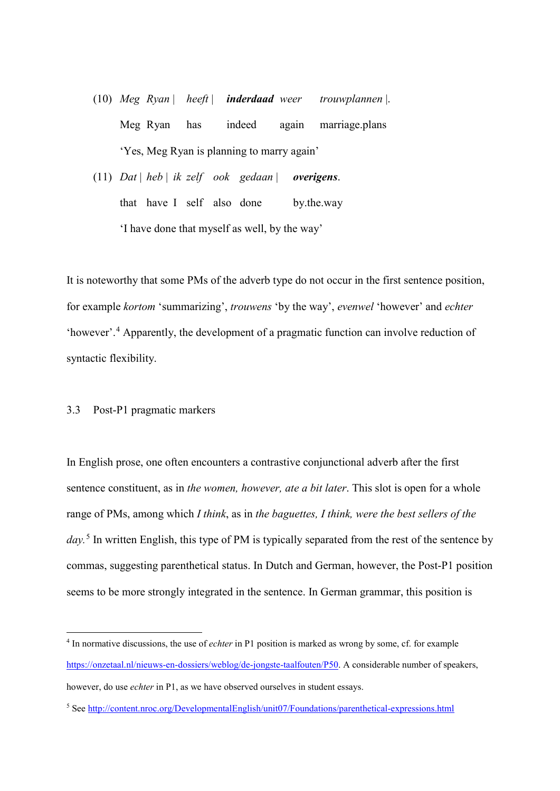- (10) *Meg Ryan* | *heeft* | *inderdaad weer trouwplannen* |. Meg Ryan has indeed again marriage.plans 'Yes, Meg Ryan is planning to marry again'
- (11) *Dat* | *heb* | *ik zelf ook gedaan* | *overigens*. that have I self also done by.the.way 'I have done that myself as well, by the way'

It is noteworthy that some PMs of the adverb type do not occur in the first sentence position, for example *kortom* 'summarizing', *trouwens* 'by the way', *evenwel* 'however' and *echter* 'however'.[4](#page-9-0) Apparently, the development of a pragmatic function can involve reduction of syntactic flexibility.

# 3.3 Post-P1 pragmatic markers

 $\overline{a}$ 

In English prose, one often encounters a contrastive conjunctional adverb after the first sentence constituent, as in *the women, however, ate a bit later*. This slot is open for a whole range of PMs, among which *I think*, as in *the baguettes, I think, were the best sellers of the day.* [5](#page-9-1) In written English, this type of PM is typically separated from the rest of the sentence by commas, suggesting parenthetical status. In Dutch and German, however, the Post-P1 position seems to be more strongly integrated in the sentence. In German grammar, this position is

<span id="page-9-0"></span><sup>4</sup> In normative discussions, the use of *echter* in P1 position is marked as wrong by some, cf. for example [https://onzetaal.nl/nieuws-en-dossiers/weblog/de-jongste-taalfouten/P50.](https://onzetaal.nl/nieuws-en-dossiers/weblog/de-jongste-taalfouten/P50) A considerable number of speakers, however, do use *echter* in P1, as we have observed ourselves in student essays.

<span id="page-9-1"></span><sup>5</sup> See<http://content.nroc.org/DevelopmentalEnglish/unit07/Foundations/parenthetical-expressions.html>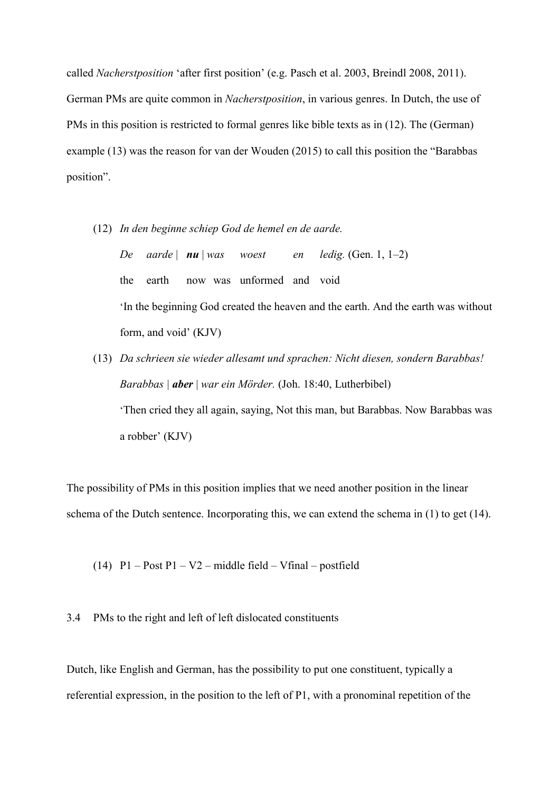called *Nacherstposition* 'after first position' (e.g. Pasch et al. 2003, Breindl 2008, 2011). German PMs are quite common in *Nacherstposition*, in various genres. In Dutch, the use of PMs in this position is restricted to formal genres like bible texts as in (12). The (German) example (13) was the reason for van der Wouden (2015) to call this position the "Barabbas position".

- (12) *In den beginne schiep God de hemel en de aarde. De aarde* | *nu* | *was woest en ledig.* (Gen. 1, 1–2) the earth now was unformed and void 'In the beginning God created the heaven and the earth. And the earth was without form, and void' (KJV)
- (13) *Da schrieen sie wieder allesamt und sprachen: Nicht diesen, sondern Barabbas! Barabbas | aber* | *war ein Mörder.* (Joh. 18:40, Lutherbibel) 'Then cried they all again, saying, Not this man, but Barabbas. Now Barabbas was a robber' (KJV)

The possibility of PMs in this position implies that we need another position in the linear schema of the Dutch sentence. Incorporating this, we can extend the schema in (1) to get (14).

(14)  $P1 - Post P1 - V2 - middle field - Vfinal - postfield$ 

3.4 PMs to the right and left of left dislocated constituents

Dutch, like English and German, has the possibility to put one constituent, typically a referential expression, in the position to the left of P1, with a pronominal repetition of the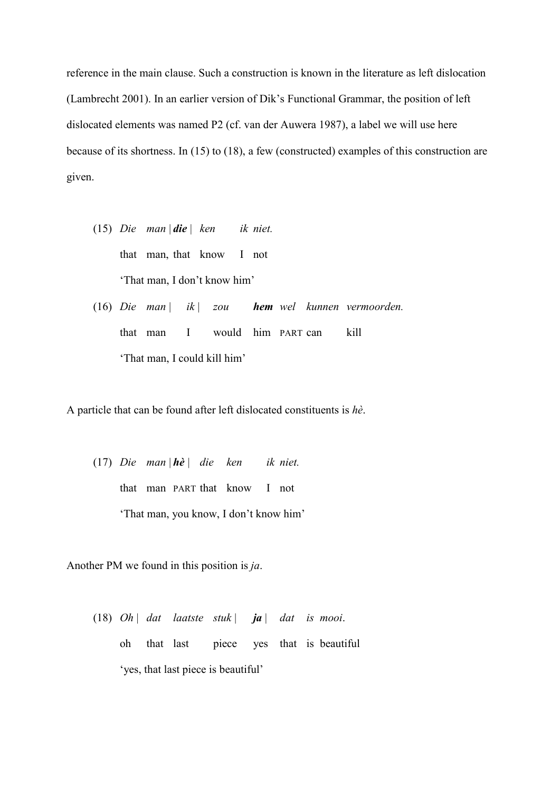reference in the main clause. Such a construction is known in the literature as left dislocation (Lambrecht 2001). In an earlier version of Dik's Functional Grammar, the position of left dislocated elements was named P2 (cf. van der Auwera 1987), a label we will use here because of its shortness. In (15) to (18), a few (constructed) examples of this construction are given.

- (15) *Die man* | *die* | *ken ik niet.* that man, that know I not 'That man, I don't know him'
- (16) *Die man* | *ik* | *zou hem wel kunnen vermoorden.* that man I would him PART can kill 'That man, I could kill him'

A particle that can be found after left dislocated constituents is *hè*.

(17) *Die man* | *hè | die ken ik niet.* that man PART that know I not 'That man, you know, I don't know him'

Another PM we found in this position is *ja*.

(18) *Oh* | *dat laatste stuk* | *ja* | *dat is mooi*. oh that last piece yes that is beautiful 'yes, that last piece is beautiful'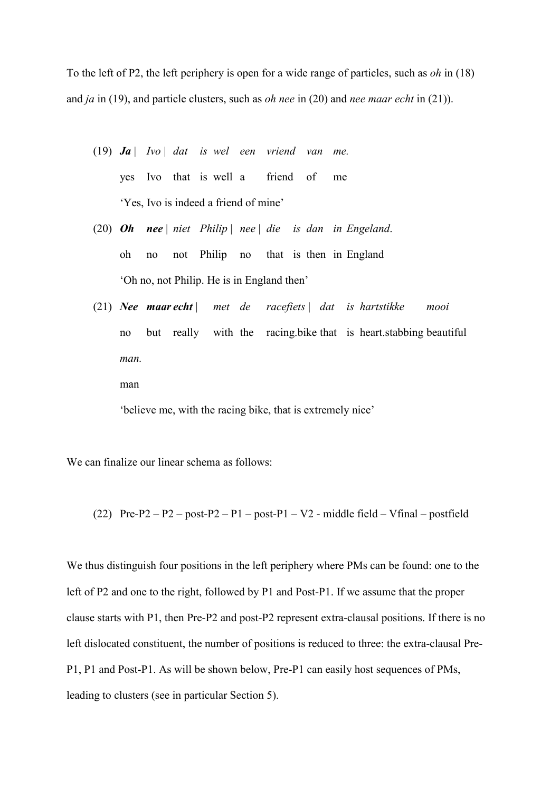To the left of P2, the left periphery is open for a wide range of particles, such as *oh* in (18) and *ja* in (19), and particle clusters, such as *oh nee* in (20) and *nee maar echt* in (21)).

- (19) *Ja* | *Ivo* | *dat is wel een vriend van me.* yes Ivo that is well a friend of me 'Yes, Ivo is indeed a friend of mine'
- (20) *Oh nee* | *niet Philip* | *nee* | *die is dan in Engeland*. oh no not Philip no that is then in England 'Oh no, not Philip. He is in England then'
- (21) *Nee maar echt* | *met de racefiets* | *dat is hartstikke mooi*  no but really with the racing.bike that is heart.stabbing beautiful *man.*

man

'believe me, with the racing bike, that is extremely nice'

We can finalize our linear schema as follows:

(22)  $Pre-P2 - P2 - post-P2 - P1 - post-P1 - V2 - middle field - Vfinal - postfield$ 

We thus distinguish four positions in the left periphery where PMs can be found: one to the left of P2 and one to the right, followed by P1 and Post-P1. If we assume that the proper clause starts with P1, then Pre-P2 and post-P2 represent extra-clausal positions. If there is no left dislocated constituent, the number of positions is reduced to three: the extra-clausal Pre-P1, P1 and Post-P1. As will be shown below, Pre-P1 can easily host sequences of PMs, leading to clusters (see in particular Section 5).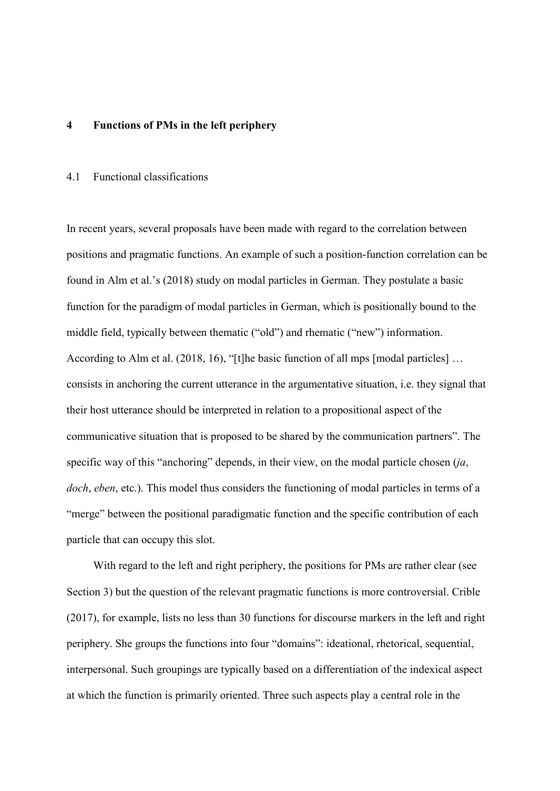#### **4 Functions of PMs in the left periphery**

#### 4.1 Functional classifications

In recent years, several proposals have been made with regard to the correlation between positions and pragmatic functions. An example of such a position-function correlation can be found in Alm et al.'s (2018) study on modal particles in German. They postulate a basic function for the paradigm of modal particles in German, which is positionally bound to the middle field, typically between thematic ("old") and rhematic ("new") information. According to Alm et al. (2018, 16), "[t]he basic function of all mps [modal particles] … consists in anchoring the current utterance in the argumentative situation, i.e. they signal that their host utterance should be interpreted in relation to a propositional aspect of the communicative situation that is proposed to be shared by the communication partners". The specific way of this "anchoring" depends, in their view, on the modal particle chosen (*ja*, *doch*, *eben*, etc.). This model thus considers the functioning of modal particles in terms of a "merge" between the positional paradigmatic function and the specific contribution of each particle that can occupy this slot.

With regard to the left and right periphery, the positions for PMs are rather clear (see Section 3) but the question of the relevant pragmatic functions is more controversial. Crible (2017), for example, lists no less than 30 functions for discourse markers in the left and right periphery. She groups the functions into four "domains": ideational, rhetorical, sequential, interpersonal. Such groupings are typically based on a differentiation of the indexical aspect at which the function is primarily oriented. Three such aspects play a central role in the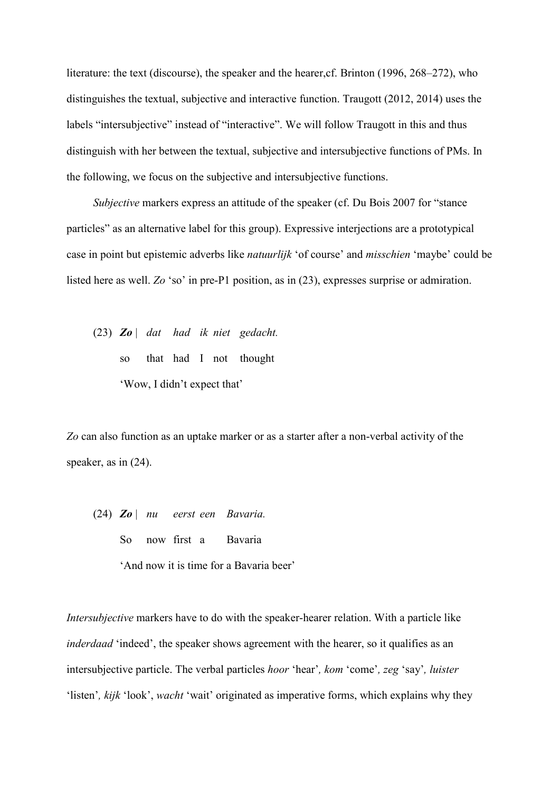literature: the text (discourse), the speaker and the hearer, cf. Brinton (1996, 268–272), who distinguishes the textual, subjective and interactive function. Traugott (2012, 2014) uses the labels "intersubjective" instead of "interactive". We will follow Traugott in this and thus distinguish with her between the textual, subjective and intersubjective functions of PMs. In the following, we focus on the subjective and intersubjective functions.

*Subjective* markers express an attitude of the speaker (cf. Du Bois 2007 for "stance particles" as an alternative label for this group). Expressive interjections are a prototypical case in point but epistemic adverbs like *natuurlijk* 'of course' and *misschien* 'maybe' could be listed here as well. *Zo* 'so' in pre-P1 position, as in (23), expresses surprise or admiration.

(23) *Zo* | *dat had ik niet gedacht.* so that had I not thought 'Wow, I didn't expect that'

*Zo* can also function as an uptake marker or as a starter after a non-verbal activity of the speaker, as in (24).

(24) *Zo* | *nu eerst een Bavaria.* So now first a Bavaria 'And now it is time for a Bavaria beer'

*Intersubjective* markers have to do with the speaker-hearer relation. With a particle like *inderdaad* 'indeed', the speaker shows agreement with the hearer, so it qualifies as an intersubjective particle. The verbal particles *hoor* 'hear'*, kom* 'come'*, zeg* 'say'*, luister* 'listen'*, kijk* 'look', *wacht* 'wait' originated as imperative forms, which explains why they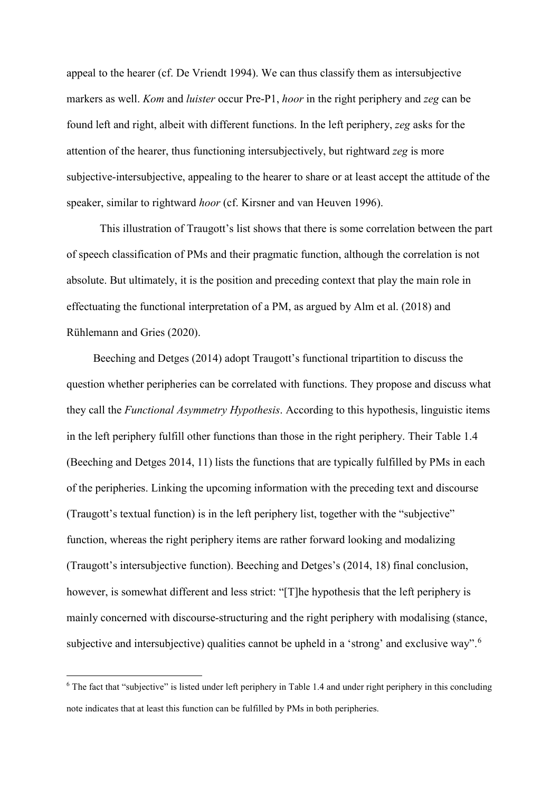appeal to the hearer (cf. De Vriendt 1994). We can thus classify them as intersubjective markers as well. *Kom* and *luister* occur Pre-P1, *hoor* in the right periphery and *zeg* can be found left and right, albeit with different functions. In the left periphery, *zeg* asks for the attention of the hearer, thus functioning intersubjectively, but rightward *zeg* is more subjective-intersubjective, appealing to the hearer to share or at least accept the attitude of the speaker, similar to rightward *hoor* (cf. Kirsner and van Heuven 1996).

This illustration of Traugott's list shows that there is some correlation between the part of speech classification of PMs and their pragmatic function, although the correlation is not absolute. But ultimately, it is the position and preceding context that play the main role in effectuating the functional interpretation of a PM, as argued by Alm et al. (2018) and Rühlemann and Gries (2020).

Beeching and Detges (2014) adopt Traugott's functional tripartition to discuss the question whether peripheries can be correlated with functions. They propose and discuss what they call the *Functional Asymmetry Hypothesis*. According to this hypothesis, linguistic items in the left periphery fulfill other functions than those in the right periphery. Their Table 1.4 (Beeching and Detges 2014, 11) lists the functions that are typically fulfilled by PMs in each of the peripheries. Linking the upcoming information with the preceding text and discourse (Traugott's textual function) is in the left periphery list, together with the "subjective" function, whereas the right periphery items are rather forward looking and modalizing (Traugott's intersubjective function). Beeching and Detges's (2014, 18) final conclusion, however, is somewhat different and less strict: "[T]he hypothesis that the left periphery is mainly concerned with discourse-structuring and the right periphery with modalising (stance, subjective and intersubjective) qualities cannot be upheld in a 'strong' and exclusive way".<sup>[6](#page-15-0)</sup>

 $\overline{a}$ 

<span id="page-15-0"></span> $6$  The fact that "subjective" is listed under left periphery in Table 1.4 and under right periphery in this concluding note indicates that at least this function can be fulfilled by PMs in both peripheries.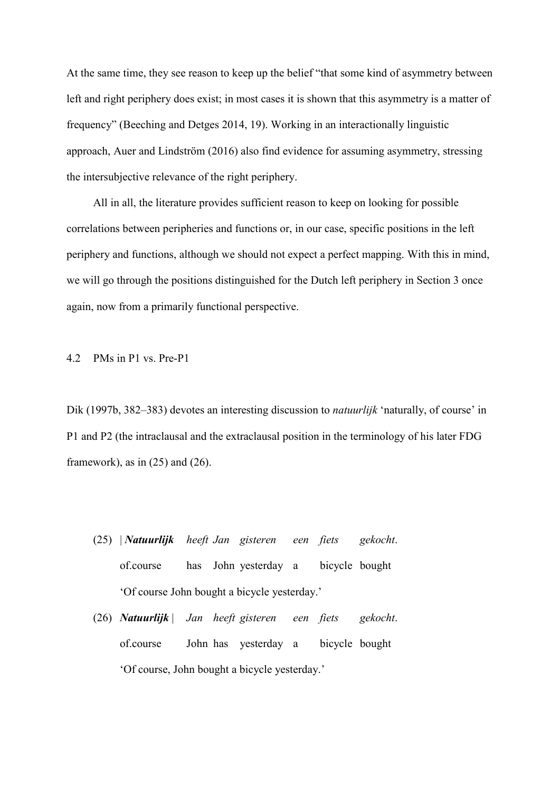At the same time, they see reason to keep up the belief "that some kind of asymmetry between left and right periphery does exist; in most cases it is shown that this asymmetry is a matter of frequency" (Beeching and Detges 2014, 19). Working in an interactionally linguistic approach, Auer and Lindström (2016) also find evidence for assuming asymmetry, stressing the intersubjective relevance of the right periphery.

All in all, the literature provides sufficient reason to keep on looking for possible correlations between peripheries and functions or, in our case, specific positions in the left periphery and functions, although we should not expect a perfect mapping. With this in mind, we will go through the positions distinguished for the Dutch left periphery in Section 3 once again, now from a primarily functional perspective.

4.2 PMs in P1 vs. Pre-P1

Dik (1997b, 382–383) devotes an interesting discussion to *natuurlijk* 'naturally, of course' in P1 and P2 (the intraclausal and the extraclausal position in the terminology of his later FDG framework), as in  $(25)$  and  $(26)$ .

- (25) | *Natuurlijk heeft Jan gisteren een fiets gekocht*. of.course has John yesterday a bicycle bought 'Of course John bought a bicycle yesterday.'
- (26) *Natuurlijk* | *Jan heeft gisteren een fiets gekocht*. of.course John has yesterday a bicycle bought 'Of course, John bought a bicycle yesterday.'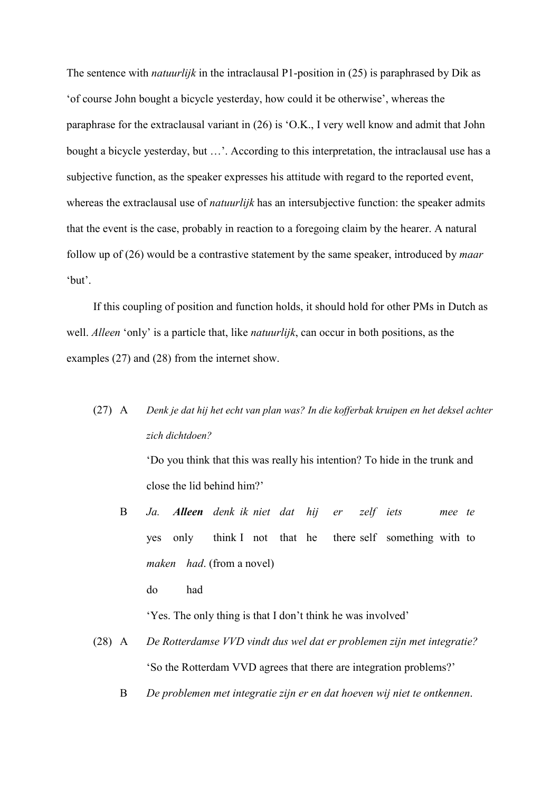The sentence with *natuurlijk* in the intraclausal P1-position in (25) is paraphrased by Dik as 'of course John bought a bicycle yesterday, how could it be otherwise', whereas the paraphrase for the extraclausal variant in (26) is 'O.K., I very well know and admit that John bought a bicycle yesterday, but …'. According to this interpretation, the intraclausal use has a subjective function, as the speaker expresses his attitude with regard to the reported event, whereas the extraclausal use of *natuurlijk* has an intersubjective function: the speaker admits that the event is the case, probably in reaction to a foregoing claim by the hearer. A natural follow up of (26) would be a contrastive statement by the same speaker, introduced by *maar* 'but'.

If this coupling of position and function holds, it should hold for other PMs in Dutch as well. *Alleen* 'only' is a particle that, like *natuurlijk*, can occur in both positions, as the examples (27) and (28) from the internet show.

(27) A *Denk je dat hij het echt van plan was? In die kofferbak kruipen en het deksel achter zich dichtdoen?*

> 'Do you think that this was really his intention? To hide in the trunk and close the lid behind him?'

B *Ja. Alleen denk ik niet dat hij er zelf iets mee te* yes only think I not that he there self something with to *maken had*. (from a novel)

do had

'Yes. The only thing is that I don't think he was involved'

- (28) A *De Rotterdamse VVD vindt dus wel dat er problemen zijn met integratie?* 'So the Rotterdam VVD agrees that there are integration problems?'
	- B *De problemen met integratie zijn er en dat hoeven wij niet te ontkennen*.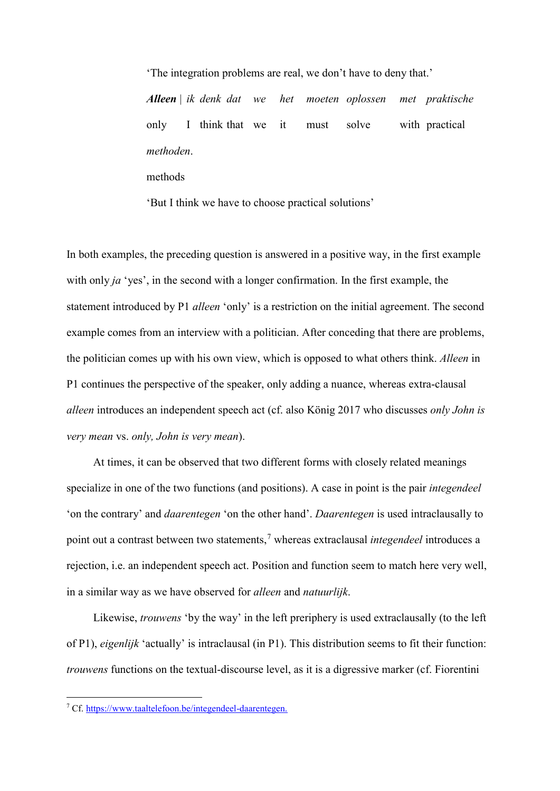'The integration problems are real, we don't have to deny that.' *Alleen* | *ik denk dat we het moeten oplossen met praktische*  only I think that we it must solve with practical *methoden*. methods

'But I think we have to choose practical solutions'

In both examples, the preceding question is answered in a positive way, in the first example with only *ja* 'yes', in the second with a longer confirmation. In the first example, the statement introduced by P1 *alleen* 'only' is a restriction on the initial agreement. The second example comes from an interview with a politician. After conceding that there are problems, the politician comes up with his own view, which is opposed to what others think. *Alleen* in P1 continues the perspective of the speaker, only adding a nuance, whereas extra-clausal *alleen* introduces an independent speech act (cf. also König 2017 who discusses *only John is very mean* vs. *only, John is very mean*).

At times, it can be observed that two different forms with closely related meanings specialize in one of the two functions (and positions). A case in point is the pair *integendeel* 'on the contrary' and *daarentegen* 'on the other hand'. *Daarentegen* is used intraclausally to point out a contrast between two statements,[7](#page-18-0) whereas extraclausal *integendeel* introduces a rejection, i.e. an independent speech act. Position and function seem to match here very well, in a similar way as we have observed for *alleen* and *natuurlijk*.

Likewise, *trouwens* 'by the way' in the left preriphery is used extraclausally (to the left of P1), *eigenlijk* 'actually' is intraclausal (in P1). This distribution seems to fit their function: *trouwens* functions on the textual-discourse level, as it is a digressive marker (cf. Fiorentini

 $\overline{a}$ 

<span id="page-18-0"></span><sup>7</sup> Cf. [https://www.taaltelefoon.be/integendeel-daarentegen.](https://www.taaltelefoon.be/integendeel-daarentegen)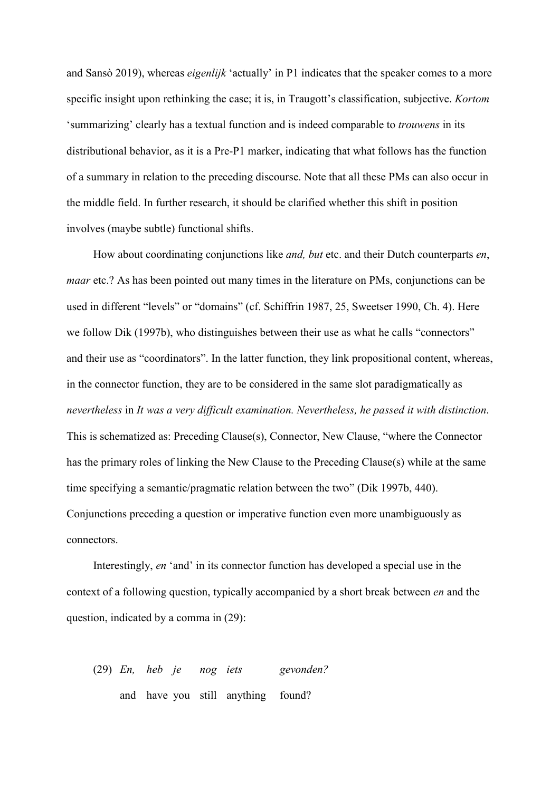and Sansò 2019), whereas *eigenlijk* 'actually' in P1 indicates that the speaker comes to a more specific insight upon rethinking the case; it is, in Traugott's classification, subjective. *Kortom* 'summarizing' clearly has a textual function and is indeed comparable to *trouwens* in its distributional behavior, as it is a Pre-P1 marker, indicating that what follows has the function of a summary in relation to the preceding discourse. Note that all these PMs can also occur in the middle field. In further research, it should be clarified whether this shift in position involves (maybe subtle) functional shifts.

How about coordinating conjunctions like *and, but* etc. and their Dutch counterparts *en*, *maar* etc.? As has been pointed out many times in the literature on PMs, conjunctions can be used in different "levels" or "domains" (cf. Schiffrin 1987, 25, Sweetser 1990, Ch. 4). Here we follow Dik (1997b), who distinguishes between their use as what he calls "connectors" and their use as "coordinators". In the latter function, they link propositional content, whereas, in the connector function, they are to be considered in the same slot paradigmatically as *nevertheless* in *It was a very difficult examination. Nevertheless, he passed it with distinction*. This is schematized as: Preceding Clause(s), Connector, New Clause, "where the Connector has the primary roles of linking the New Clause to the Preceding Clause(s) while at the same time specifying a semantic/pragmatic relation between the two" (Dik 1997b, 440). Conjunctions preceding a question or imperative function even more unambiguously as connectors.

Interestingly, *en* 'and' in its connector function has developed a special use in the context of a following question, typically accompanied by a short break between *en* and the question, indicated by a comma in (29):

(29) *En, heb je nog iets gevonden?* and have you still anything found?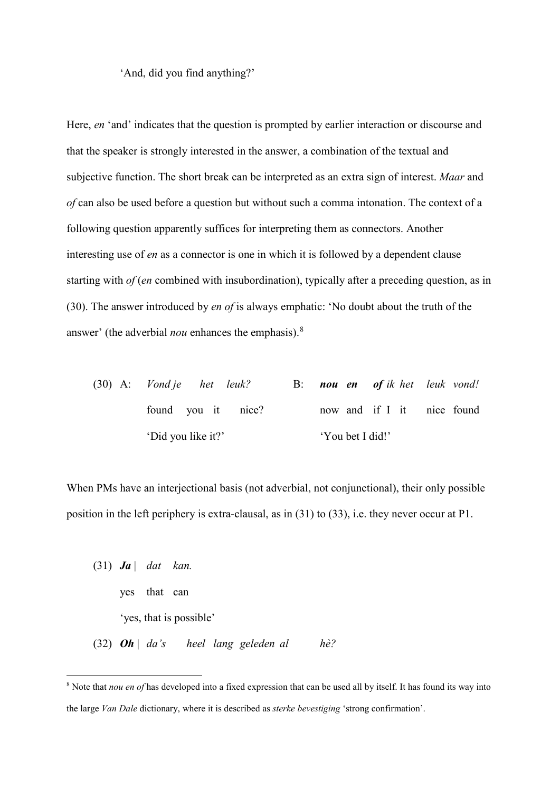'And, did you find anything?'

Here, *en* 'and' indicates that the question is prompted by earlier interaction or discourse and that the speaker is strongly interested in the answer, a combination of the textual and subjective function. The short break can be interpreted as an extra sign of interest. *Maar* and *of* can also be used before a question but without such a comma intonation. The context of a following question apparently suffices for interpreting them as connectors. Another interesting use of *en* as a connector is one in which it is followed by a dependent clause starting with *of* (*en* combined with insubordination), typically after a preceding question, as in (30). The answer introduced by *en of* is always emphatic: 'No doubt about the truth of the answer' (the adverbial *nou* enhances the emphasis). [8](#page-20-0)

(30) A: *Vond je het leuk?* B: *nou en of ik het leuk vond!* found you it nice? now and if I it nice found 'Did you like it?' 'You bet I did!'

When PMs have an interjectional basis (not adverbial, not conjunctional), their only possible position in the left periphery is extra-clausal, as in (31) to (33), i.e. they never occur at P1.

(31) *Ja* | *dat kan.* yes that can 'yes, that is possible' (32) *Oh* | *da's heel lang geleden al hè?*

 $\overline{a}$ 

<span id="page-20-0"></span><sup>8</sup> Note that *nou en of* has developed into a fixed expression that can be used all by itself. It has found its way into the large *Van Dale* dictionary, where it is described as *sterke bevestiging* 'strong confirmation'.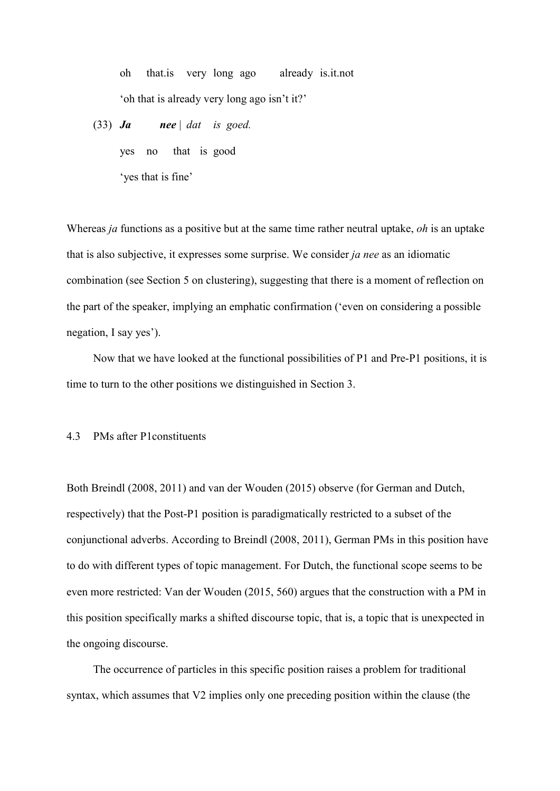oh that.is very long ago already is.it.not 'oh that is already very long ago isn't it?'

(33) *Ja nee* | *dat is goed.* yes no that is good

'yes that is fine'

Whereas *ja* functions as a positive but at the same time rather neutral uptake, *oh* is an uptake that is also subjective, it expresses some surprise. We consider *ja nee* as an idiomatic combination (see Section 5 on clustering), suggesting that there is a moment of reflection on the part of the speaker, implying an emphatic confirmation ('even on considering a possible negation, I say yes').

Now that we have looked at the functional possibilities of P1 and Pre-P1 positions, it is time to turn to the other positions we distinguished in Section 3.

## 4.3 PMs after P1constituents

Both Breindl (2008, 2011) and van der Wouden (2015) observe (for German and Dutch, respectively) that the Post-P1 position is paradigmatically restricted to a subset of the conjunctional adverbs. According to Breindl (2008, 2011), German PMs in this position have to do with different types of topic management. For Dutch, the functional scope seems to be even more restricted: Van der Wouden (2015, 560) argues that the construction with a PM in this position specifically marks a shifted discourse topic, that is, a topic that is unexpected in the ongoing discourse.

The occurrence of particles in this specific position raises a problem for traditional syntax, which assumes that V2 implies only one preceding position within the clause (the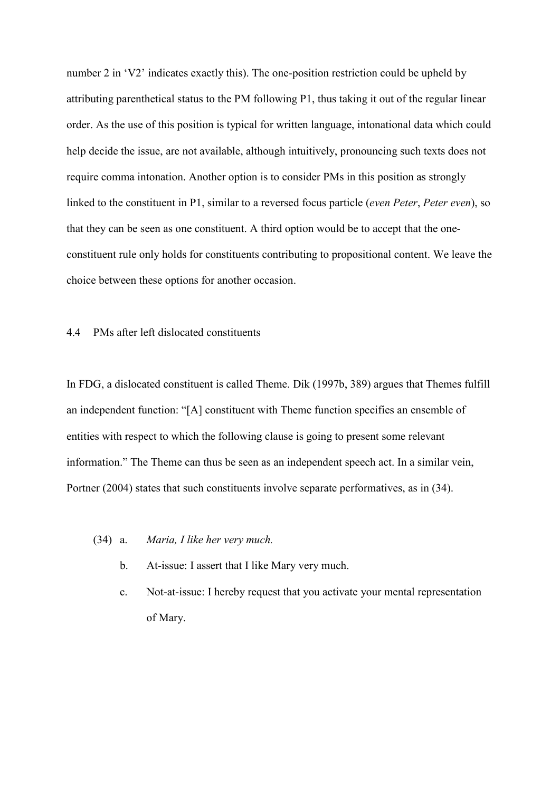number 2 in 'V2' indicates exactly this). The one-position restriction could be upheld by attributing parenthetical status to the PM following P1, thus taking it out of the regular linear order. As the use of this position is typical for written language, intonational data which could help decide the issue, are not available, although intuitively, pronouncing such texts does not require comma intonation. Another option is to consider PMs in this position as strongly linked to the constituent in P1, similar to a reversed focus particle (*even Peter*, *Peter even*), so that they can be seen as one constituent. A third option would be to accept that the oneconstituent rule only holds for constituents contributing to propositional content. We leave the choice between these options for another occasion.

## 4.4 PMs after left dislocated constituents

In FDG, a dislocated constituent is called Theme. Dik (1997b, 389) argues that Themes fulfill an independent function: "[A] constituent with Theme function specifies an ensemble of entities with respect to which the following clause is going to present some relevant information." The Theme can thus be seen as an independent speech act. In a similar vein, Portner (2004) states that such constituents involve separate performatives, as in (34).

- (34) a. *Maria, I like her very much.*
	- b. At-issue: I assert that I like Mary very much.
	- c. Not-at-issue: I hereby request that you activate your mental representation of Mary.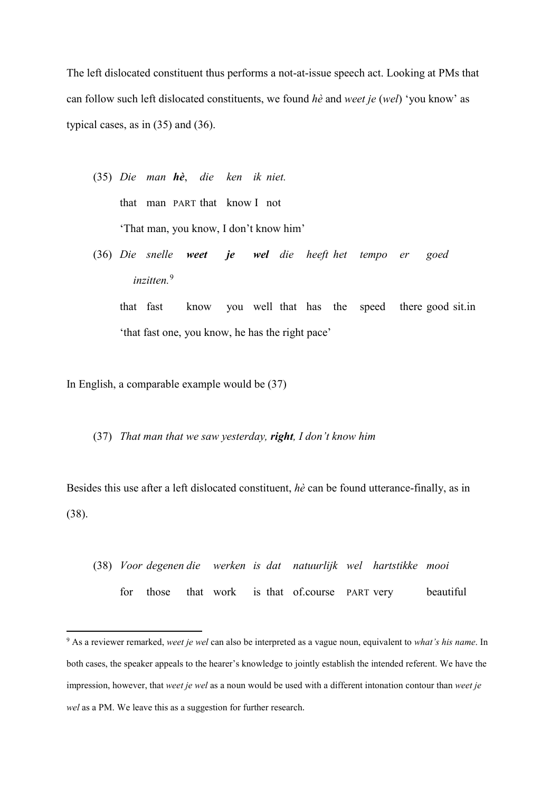The left dislocated constituent thus performs a not-at-issue speech act. Looking at PMs that can follow such left dislocated constituents, we found *hè* and *weet je* (*wel*) 'you know' as typical cases, as in (35) and (36).

- (35) *Die man hè*, *die ken ik niet.* that man PART that know I not 'That man, you know, I don't know him'
- (36) *Die snelle weet je wel die heeft het tempo er goed inzitten.* [9](#page-23-0)

that fast know you well that has the speed there good sit.in 'that fast one, you know, he has the right pace'

In English, a comparable example would be (37)

 $\overline{a}$ 

(37) *That man that we saw yesterday, right, I don't know him*

Besides this use after a left dislocated constituent, *hè* can be found utterance-finally, as in (38).

(38) *Voor degenen die werken is dat natuurlijk wel hartstikke mooi* for those that work is that of.course PART very beautiful

<span id="page-23-0"></span><sup>9</sup> As a reviewer remarked, *weet je wel* can also be interpreted as a vague noun, equivalent to *what's his name*. In both cases, the speaker appeals to the hearer's knowledge to jointly establish the intended referent. We have the impression, however, that *weet je wel* as a noun would be used with a different intonation contour than *weet je wel* as a PM. We leave this as a suggestion for further research.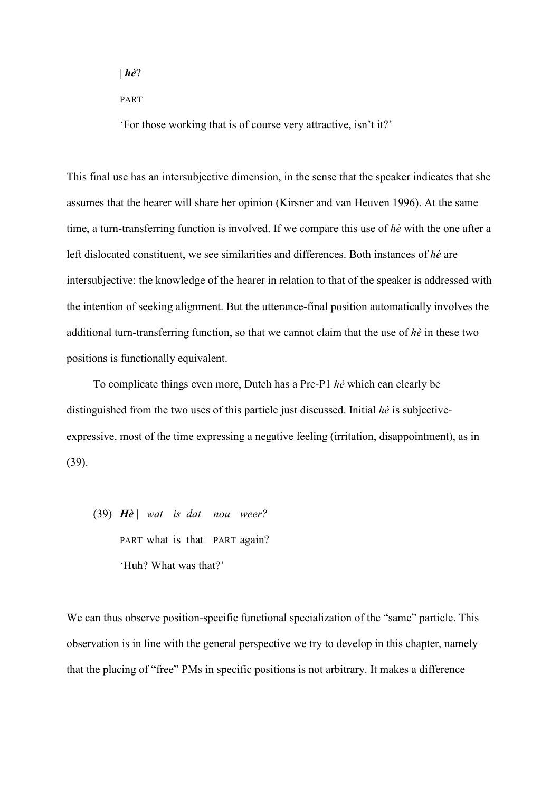| *hè*?

PART

'For those working that is of course very attractive, isn't it?'

This final use has an intersubjective dimension, in the sense that the speaker indicates that she assumes that the hearer will share her opinion (Kirsner and van Heuven 1996). At the same time, a turn-transferring function is involved. If we compare this use of *hè* with the one after a left dislocated constituent, we see similarities and differences. Both instances of *hè* are intersubjective: the knowledge of the hearer in relation to that of the speaker is addressed with the intention of seeking alignment. But the utterance-final position automatically involves the additional turn-transferring function, so that we cannot claim that the use of *hè* in these two positions is functionally equivalent.

To complicate things even more, Dutch has a Pre-P1 *hè* which can clearly be distinguished from the two uses of this particle just discussed. Initial *hè* is subjectiveexpressive, most of the time expressing a negative feeling (irritation, disappointment), as in (39).

(39) *Hè* | *wat is dat nou weer?* PART what is that PART again? 'Huh? What was that?'

We can thus observe position-specific functional specialization of the "same" particle. This observation is in line with the general perspective we try to develop in this chapter, namely that the placing of "free" PMs in specific positions is not arbitrary. It makes a difference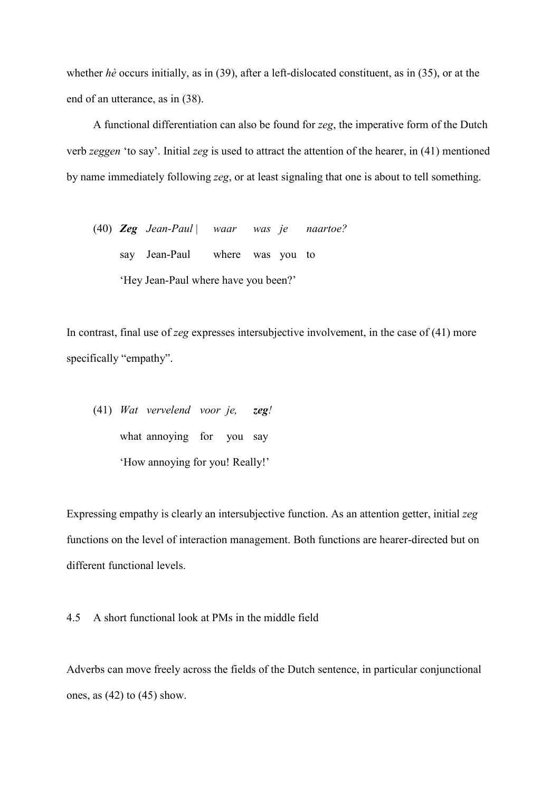whether *hè* occurs initially, as in (39), after a left-dislocated constituent, as in (35), or at the end of an utterance, as in (38).

A functional differentiation can also be found for *zeg*, the imperative form of the Dutch verb *zeggen* 'to say'. Initial *zeg* is used to attract the attention of the hearer, in (41) mentioned by name immediately following *zeg*, or at least signaling that one is about to tell something.

(40) *Zeg Jean-Paul* | *waar was je naartoe?* say Jean-Paul where was you to 'Hey Jean-Paul where have you been?'

In contrast, final use of *zeg* expresses intersubjective involvement, in the case of (41) more specifically "empathy".

(41) *Wat vervelend voor je, zeg!*  what annoying for you say 'How annoying for you! Really!'

Expressing empathy is clearly an intersubjective function. As an attention getter, initial *zeg* functions on the level of interaction management. Both functions are hearer-directed but on different functional levels.

4.5 A short functional look at PMs in the middle field

Adverbs can move freely across the fields of the Dutch sentence, in particular conjunctional ones, as  $(42)$  to  $(45)$  show.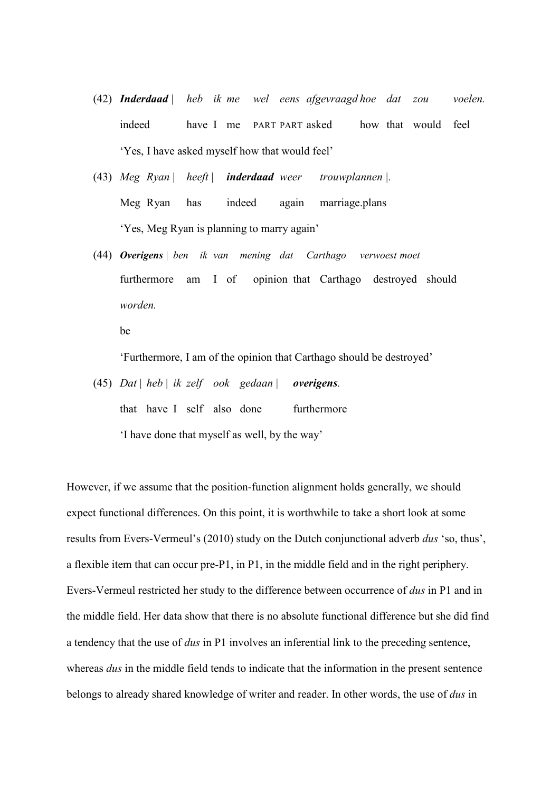- (42) *Inderdaad | heb ik me wel eens afgevraagd hoe dat zou voelen.* indeed have I me PART PART asked how that would feel 'Yes, I have asked myself how that would feel'
- (43) *Meg Ryan* | *heeft* | *inderdaad weer trouwplannen |.* Meg Ryan has indeed again marriage.plans 'Yes, Meg Ryan is planning to marry again'
- (44) *Overigens | ben ik van mening dat Carthago verwoest moet*  furthermore am I of opinion that Carthago destroyed should *worden.*

be

'Furthermore, I am of the opinion that Carthago should be destroyed'

(45) *Dat* | *heb* | *ik zelf ook gedaan* | *overigens.* that have I self also done furthermore 'I have done that myself as well, by the way'

However, if we assume that the position-function alignment holds generally, we should expect functional differences. On this point, it is worthwhile to take a short look at some results from Evers-Vermeul's (2010) study on the Dutch conjunctional adverb *dus* 'so, thus', a flexible item that can occur pre-P1, in P1, in the middle field and in the right periphery. Evers-Vermeul restricted her study to the difference between occurrence of *dus* in P1 and in the middle field. Her data show that there is no absolute functional difference but she did find a tendency that the use of *dus* in P1 involves an inferential link to the preceding sentence, whereas *dus* in the middle field tends to indicate that the information in the present sentence belongs to already shared knowledge of writer and reader. In other words, the use of *dus* in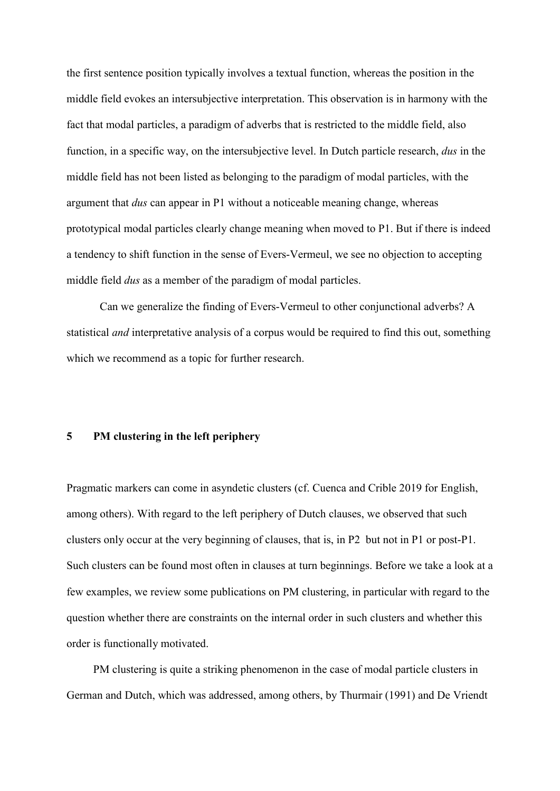the first sentence position typically involves a textual function, whereas the position in the middle field evokes an intersubjective interpretation. This observation is in harmony with the fact that modal particles, a paradigm of adverbs that is restricted to the middle field, also function, in a specific way, on the intersubjective level. In Dutch particle research, *dus* in the middle field has not been listed as belonging to the paradigm of modal particles, with the argument that *dus* can appear in P1 without a noticeable meaning change, whereas prototypical modal particles clearly change meaning when moved to P1. But if there is indeed a tendency to shift function in the sense of Evers-Vermeul, we see no objection to accepting middle field *dus* as a member of the paradigm of modal particles.

Can we generalize the finding of Evers-Vermeul to other conjunctional adverbs? A statistical *and* interpretative analysis of a corpus would be required to find this out, something which we recommend as a topic for further research.

# **5 PM clustering in the left periphery**

Pragmatic markers can come in asyndetic clusters (cf. Cuenca and Crible 2019 for English, among others). With regard to the left periphery of Dutch clauses, we observed that such clusters only occur at the very beginning of clauses, that is, in P2 but not in P1 or post-P1. Such clusters can be found most often in clauses at turn beginnings. Before we take a look at a few examples, we review some publications on PM clustering, in particular with regard to the question whether there are constraints on the internal order in such clusters and whether this order is functionally motivated.

PM clustering is quite a striking phenomenon in the case of modal particle clusters in German and Dutch, which was addressed, among others, by Thurmair (1991) and De Vriendt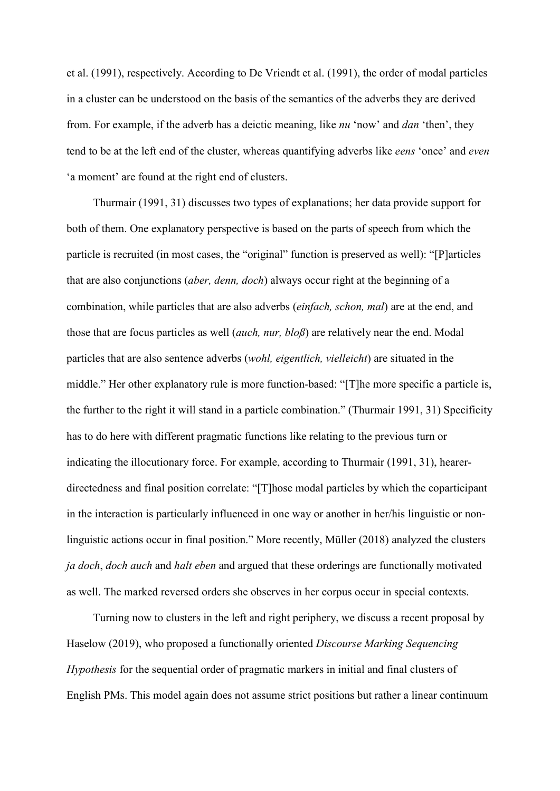et al. (1991), respectively. According to De Vriendt et al. (1991), the order of modal particles in a cluster can be understood on the basis of the semantics of the adverbs they are derived from. For example, if the adverb has a deictic meaning, like *nu* 'now' and *dan* 'then', they tend to be at the left end of the cluster, whereas quantifying adverbs like *eens* 'once' and *even*  'a moment' are found at the right end of clusters.

Thurmair (1991, 31) discusses two types of explanations; her data provide support for both of them. One explanatory perspective is based on the parts of speech from which the particle is recruited (in most cases, the "original" function is preserved as well): "[P]articles that are also conjunctions (*aber, denn, doch*) always occur right at the beginning of a combination, while particles that are also adverbs (*einfach, schon, mal*) are at the end, and those that are focus particles as well (*auch, nur, bloß*) are relatively near the end. Modal particles that are also sentence adverbs (*wohl, eigentlich, vielleicht*) are situated in the middle." Her other explanatory rule is more function-based: "[T]he more specific a particle is, the further to the right it will stand in a particle combination." (Thurmair 1991, 31) Specificity has to do here with different pragmatic functions like relating to the previous turn or indicating the illocutionary force. For example, according to Thurmair (1991, 31), hearerdirectedness and final position correlate: "[T]hose modal particles by which the coparticipant in the interaction is particularly influenced in one way or another in her/his linguistic or nonlinguistic actions occur in final position." More recently, Müller (2018) analyzed the clusters *ja doch*, *doch auch* and *halt eben* and argued that these orderings are functionally motivated as well. The marked reversed orders she observes in her corpus occur in special contexts.

Turning now to clusters in the left and right periphery, we discuss a recent proposal by Haselow (2019), who proposed a functionally oriented *Discourse Marking Sequencing Hypothesis* for the sequential order of pragmatic markers in initial and final clusters of English PMs. This model again does not assume strict positions but rather a linear continuum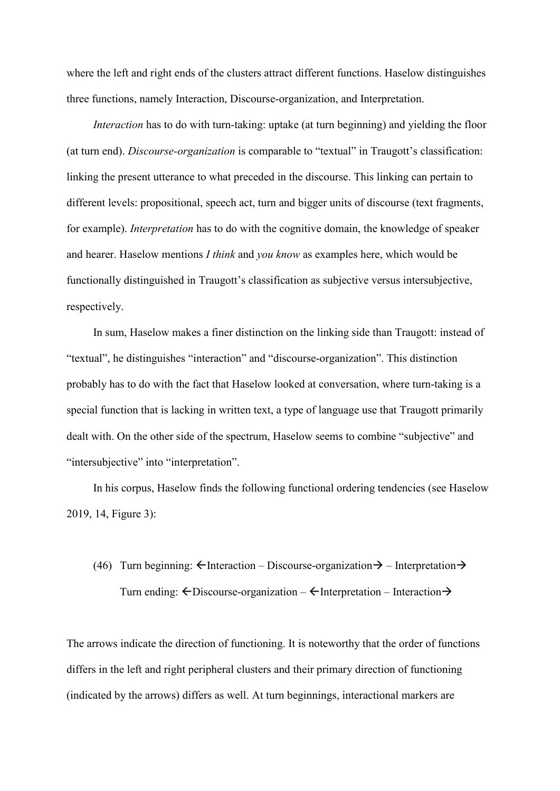where the left and right ends of the clusters attract different functions. Haselow distinguishes three functions, namely Interaction, Discourse-organization, and Interpretation.

*Interaction* has to do with turn-taking: uptake (at turn beginning) and yielding the floor (at turn end). *Discourse-organization* is comparable to "textual" in Traugott's classification: linking the present utterance to what preceded in the discourse. This linking can pertain to different levels: propositional, speech act, turn and bigger units of discourse (text fragments, for example). *Interpretation* has to do with the cognitive domain, the knowledge of speaker and hearer. Haselow mentions *I think* and *you know* as examples here, which would be functionally distinguished in Traugott's classification as subjective versus intersubjective, respectively.

In sum, Haselow makes a finer distinction on the linking side than Traugott: instead of "textual", he distinguishes "interaction" and "discourse-organization". This distinction probably has to do with the fact that Haselow looked at conversation, where turn-taking is a special function that is lacking in written text, a type of language use that Traugott primarily dealt with. On the other side of the spectrum, Haselow seems to combine "subjective" and "intersubjective" into "interpretation".

In his corpus, Haselow finds the following functional ordering tendencies (see Haselow 2019, 14, Figure 3):

# (46) Turn beginning:  $\leftarrow$ Interaction – Discourse-organization  $\rightarrow$  – Interpretation  $\rightarrow$ Turn ending:  $\leftarrow$  Discourse-organization –  $\leftarrow$  Interpretation – Interaction  $\rightarrow$

The arrows indicate the direction of functioning. It is noteworthy that the order of functions differs in the left and right peripheral clusters and their primary direction of functioning (indicated by the arrows) differs as well. At turn beginnings, interactional markers are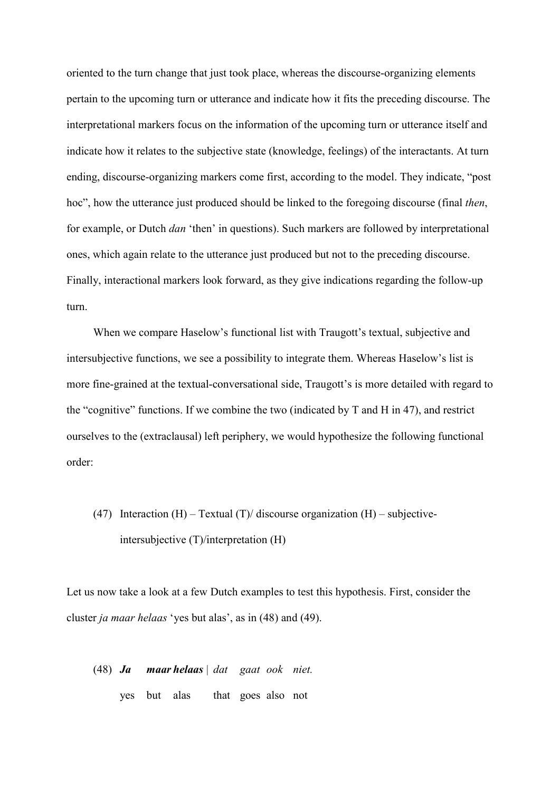oriented to the turn change that just took place, whereas the discourse-organizing elements pertain to the upcoming turn or utterance and indicate how it fits the preceding discourse. The interpretational markers focus on the information of the upcoming turn or utterance itself and indicate how it relates to the subjective state (knowledge, feelings) of the interactants. At turn ending, discourse-organizing markers come first, according to the model. They indicate, "post hoc", how the utterance just produced should be linked to the foregoing discourse (final *then*, for example, or Dutch *dan* 'then' in questions). Such markers are followed by interpretational ones, which again relate to the utterance just produced but not to the preceding discourse. Finally, interactional markers look forward, as they give indications regarding the follow-up turn.

When we compare Haselow's functional list with Traugott's textual, subjective and intersubjective functions, we see a possibility to integrate them. Whereas Haselow's list is more fine-grained at the textual-conversational side, Traugott's is more detailed with regard to the "cognitive" functions. If we combine the two (indicated by  $T$  and  $H$  in 47), and restrict ourselves to the (extraclausal) left periphery, we would hypothesize the following functional order:

(47) Interaction  $(H)$  – Textual  $(T)$  discourse organization  $(H)$  – subjectiveintersubjective (T)/interpretation (H)

Let us now take a look at a few Dutch examples to test this hypothesis. First, consider the cluster *ja maar helaas* 'yes but alas', as in (48) and (49).

(48) *Ja maar helaas* | *dat gaat ook niet.* yes but alas that goes also not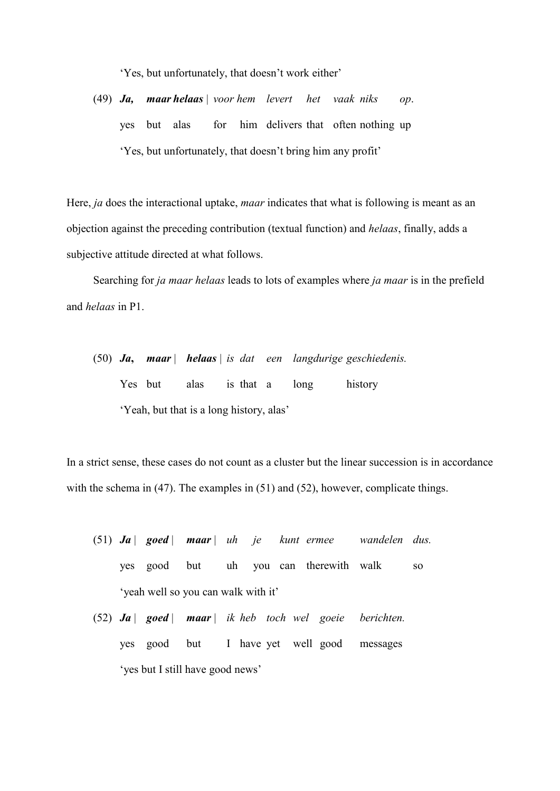'Yes, but unfortunately, that doesn't work either'

(49) *Ja, maar helaas* | *voor hem levert het vaak niks op*. yes but alas for him delivers that often nothing up 'Yes, but unfortunately, that doesn't bring him any profit'

Here, *ja* does the interactional uptake, *maar* indicates that what is following is meant as an objection against the preceding contribution (textual function) and *helaas*, finally, adds a subjective attitude directed at what follows.

Searching for *ja maar helaas* leads to lots of examples where *ja maar* is in the prefield and *helaas* in P1.

(50) *Ja***,** *maar* | *helaas* | *is dat een langdurige geschiedenis.* Yes but alas is that a long history 'Yeah, but that is a long history, alas'

In a strict sense, these cases do not count as a cluster but the linear succession is in accordance with the schema in (47). The examples in (51) and (52), however, complicate things.

- (51) *Ja* | *goed* | *maar* | *uh je kunt ermee wandelen dus.* yes good but uh you can therewith walk so 'yeah well so you can walk with it'
- (52) *Ja* | *goed* | *maar* | *ik heb toch wel goeie berichten.* yes good but I have yet well good messages 'yes but I still have good news'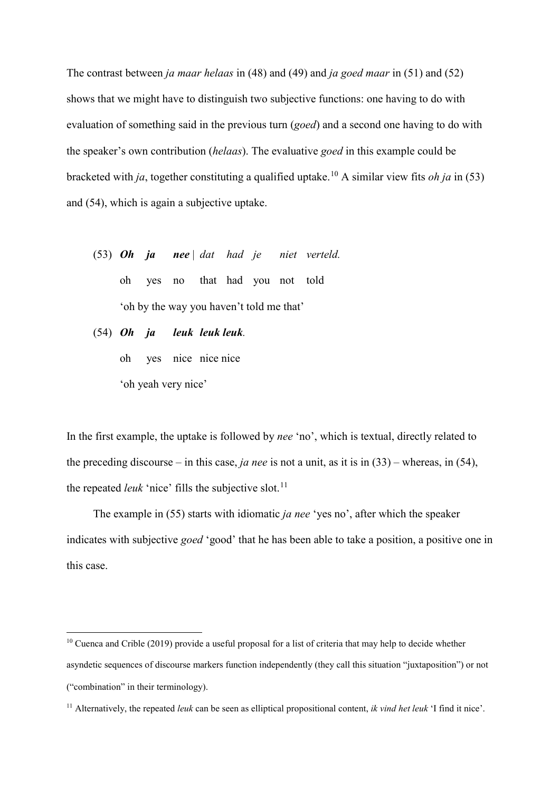The contrast between *ja maar helaas* in (48) and (49) and *ja goed maar* in (51) and (52) shows that we might have to distinguish two subjective functions: one having to do with evaluation of something said in the previous turn (*goed*) and a second one having to do with the speaker's own contribution (*helaas*). The evaluative *goed* in this example could be bracketed with *ja*, together constituting a qualified uptake.[10](#page-32-0) A similar view fits *oh ja* in (53) and (54), which is again a subjective uptake.

- (53) *Oh ja nee* | *dat had je niet verteld.* oh yes no that had you not told 'oh by the way you haven't told me that'
- (54) *Oh ja leuk leuk leuk.*

oh yes nice nice nice

'oh yeah very nice'

 $\overline{a}$ 

In the first example, the uptake is followed by *nee* 'no', which is textual, directly related to the preceding discourse – in this case, *ja nee* is not a unit, as it is in (33) – whereas, in (54), the repeated *leuk* 'nice' fills the subjective slot.<sup>[11](#page-32-1)</sup>

The example in (55) starts with idiomatic *ja nee* 'yes no', after which the speaker indicates with subjective *goed* 'good' that he has been able to take a position, a positive one in this case.

<span id="page-32-0"></span><sup>&</sup>lt;sup>10</sup> Cuenca and Crible (2019) provide a useful proposal for a list of criteria that may help to decide whether asyndetic sequences of discourse markers function independently (they call this situation "juxtaposition") or not ("combination" in their terminology).

<span id="page-32-1"></span><sup>11</sup> Alternatively, the repeated *leuk* can be seen as elliptical propositional content, *ik vind het leuk* 'I find it nice'.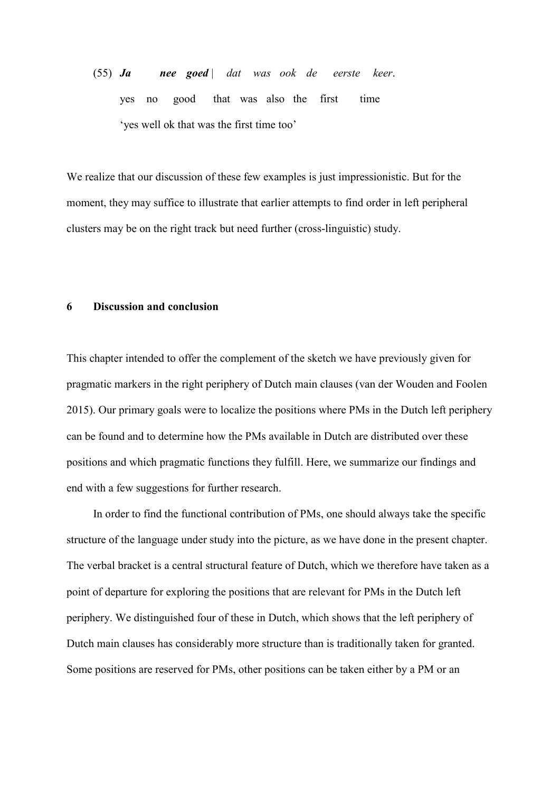(55) *Ja nee goed* | *dat was ook de eerste keer*. yes no good that was also the first time 'yes well ok that was the first time too'

We realize that our discussion of these few examples is just impressionistic. But for the moment, they may suffice to illustrate that earlier attempts to find order in left peripheral clusters may be on the right track but need further (cross-linguistic) study.

# **6 Discussion and conclusion**

This chapter intended to offer the complement of the sketch we have previously given for pragmatic markers in the right periphery of Dutch main clauses (van der Wouden and Foolen 2015). Our primary goals were to localize the positions where PMs in the Dutch left periphery can be found and to determine how the PMs available in Dutch are distributed over these positions and which pragmatic functions they fulfill. Here, we summarize our findings and end with a few suggestions for further research.

In order to find the functional contribution of PMs, one should always take the specific structure of the language under study into the picture, as we have done in the present chapter. The verbal bracket is a central structural feature of Dutch, which we therefore have taken as a point of departure for exploring the positions that are relevant for PMs in the Dutch left periphery. We distinguished four of these in Dutch, which shows that the left periphery of Dutch main clauses has considerably more structure than is traditionally taken for granted. Some positions are reserved for PMs, other positions can be taken either by a PM or an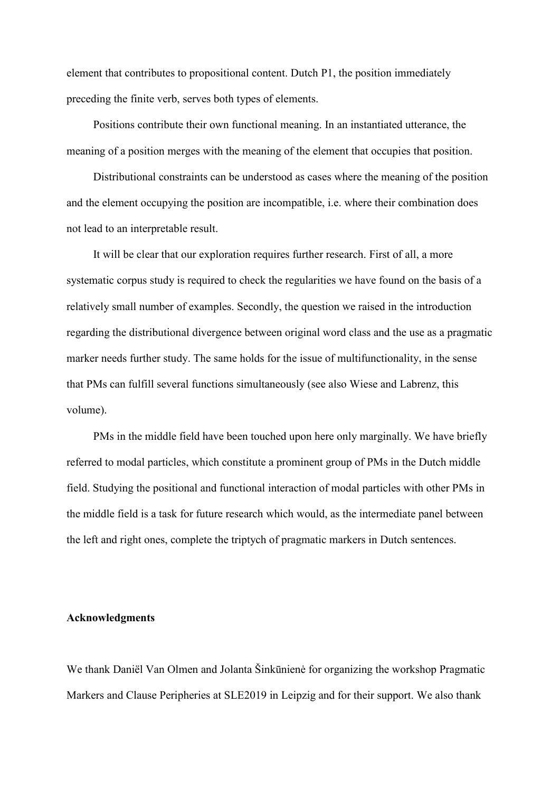element that contributes to propositional content. Dutch P1, the position immediately preceding the finite verb, serves both types of elements.

Positions contribute their own functional meaning. In an instantiated utterance, the meaning of a position merges with the meaning of the element that occupies that position.

Distributional constraints can be understood as cases where the meaning of the position and the element occupying the position are incompatible, i.e. where their combination does not lead to an interpretable result.

It will be clear that our exploration requires further research. First of all, a more systematic corpus study is required to check the regularities we have found on the basis of a relatively small number of examples. Secondly, the question we raised in the introduction regarding the distributional divergence between original word class and the use as a pragmatic marker needs further study. The same holds for the issue of multifunctionality, in the sense that PMs can fulfill several functions simultaneously (see also Wiese and Labrenz, this volume).

PMs in the middle field have been touched upon here only marginally. We have briefly referred to modal particles, which constitute a prominent group of PMs in the Dutch middle field. Studying the positional and functional interaction of modal particles with other PMs in the middle field is a task for future research which would, as the intermediate panel between the left and right ones, complete the triptych of pragmatic markers in Dutch sentences.

## **Acknowledgments**

We thank Daniël Van Olmen and Jolanta Šinkūnienė for organizing the workshop Pragmatic Markers and Clause Peripheries at SLE2019 in Leipzig and for their support. We also thank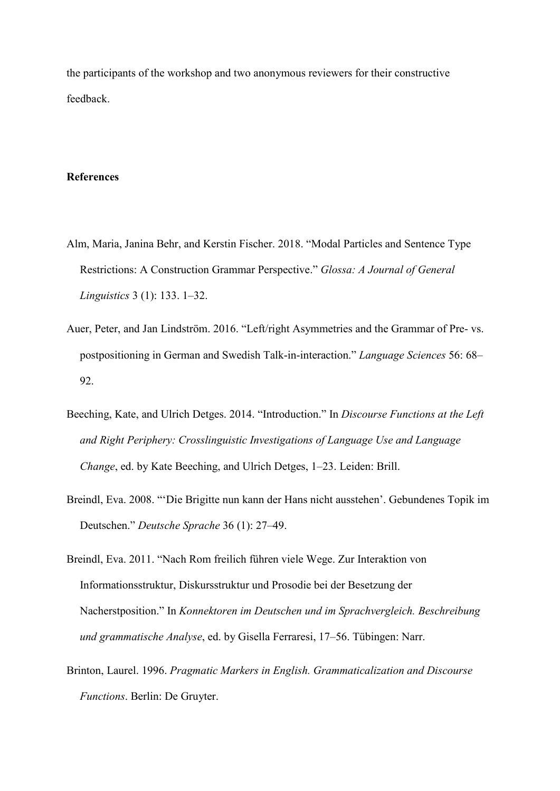the participants of the workshop and two anonymous reviewers for their constructive feedback.

# **References**

- Alm, Maria, Janina Behr, and Kerstin Fischer. 2018. "Modal Particles and Sentence Type Restrictions: A Construction Grammar Perspective." *Glossa: A Journal of General Linguistics* 3 (1): 133. 1–32.
- Auer, Peter, and Jan Lindström. 2016. "Left/right Asymmetries and the Grammar of Pre- vs. postpositioning in German and Swedish Talk-in-interaction." *Language Sciences* 56: 68– 92.
- Beeching, Kate, and Ulrich Detges. 2014. "Introduction." In *Discourse Functions at the Left and Right Periphery: Crosslinguistic Investigations of Language Use and Language Change*, ed. by Kate Beeching, and Ulrich Detges, 1–23. Leiden: Brill.
- Breindl, Eva. 2008. "'Die Brigitte nun kann der Hans nicht ausstehen'. Gebundenes Topik im Deutschen." *Deutsche Sprache* 36 (1): 27–49.
- Breindl, Eva. 2011. "Nach Rom freilich führen viele Wege. Zur Interaktion von Informationsstruktur, Diskursstruktur und Prosodie bei der Besetzung der Nacherstposition." In *Konnektoren im Deutschen und im Sprachvergleich. Beschreibung und grammatische Analyse*, ed. by Gisella Ferraresi, 17–56. Tübingen: Narr.
- Brinton, Laurel. 1996. *Pragmatic Markers in English. Grammaticalization and Discourse Functions*. Berlin: De Gruyter.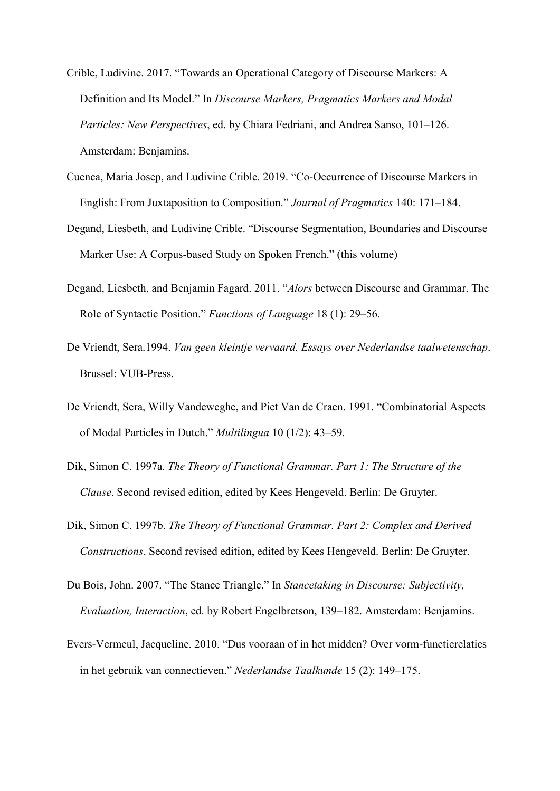- Crible, Ludivine. 2017. "Towards an Operational Category of Discourse Markers: A Definition and Its Model." In *Discourse Markers, Pragmatics Markers and Modal Particles: New Perspectives*, ed. by Chiara Fedriani, and Andrea Sanso, 101–126. Amsterdam: Benjamins.
- Cuenca, Maria Josep, and Ludivine Crible. 2019. "Co-Occurrence of Discourse Markers in English: From Juxtaposition to Composition." *Journal of Pragmatics* 140: 171–184.
- Degand, Liesbeth, and Ludivine Crible. "Discourse Segmentation, Boundaries and Discourse Marker Use: A Corpus-based Study on Spoken French." (this volume)
- Degand, Liesbeth, and Benjamin Fagard. 2011. "*Alors* between Discourse and Grammar. The Role of Syntactic Position." *Functions of Language* 18 (1): 29–56.
- De Vriendt, Sera.1994. *Van geen kleintje vervaard. Essays over Nederlandse taalwetenschap*. Brussel: VUB-Press.
- De Vriendt, Sera, Willy Vandeweghe, and Piet Van de Craen. 1991. "Combinatorial Aspects of Modal Particles in Dutch." *Multilingua* 10 (1/2): 43–59.
- Dik, Simon C. 1997a. *The Theory of Functional Grammar. Part 1: The Structure of the Clause*. Second revised edition, edited by Kees Hengeveld. Berlin: De Gruyter.
- Dik, Simon C. 1997b. *The Theory of Functional Grammar. Part 2: Complex and Derived Constructions*. Second revised edition, edited by Kees Hengeveld. Berlin: De Gruyter.
- Du Bois, John. 2007. "The Stance Triangle." In *Stancetaking in Discourse: Subjectivity, Evaluation, Interaction*, ed. by Robert Engelbretson, 139–182. Amsterdam: Benjamins.
- Evers-Vermeul, Jacqueline. 2010. "Dus vooraan of in het midden? Over vorm-functierelaties in het gebruik van connectieven." *Nederlandse Taalkunde* 15 (2): 149–175.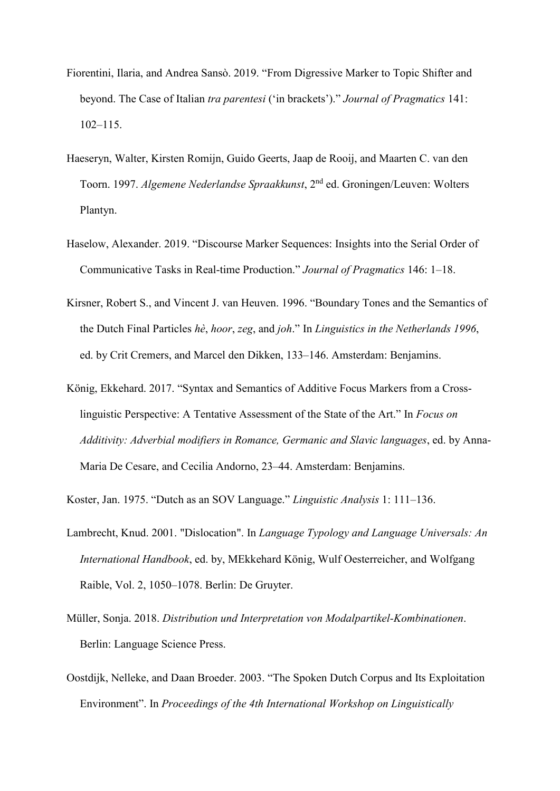- Fiorentini, Ilaria, and Andrea Sansò. 2019. "From Digressive Marker to Topic Shifter and beyond. The Case of Italian *tra parentesi* ('in brackets')." *Journal of Pragmatics* 141: 102–115.
- Haeseryn, Walter, Kirsten Romijn, Guido Geerts, Jaap de Rooij, and Maarten C. van den Toorn. 1997. *Algemene Nederlandse Spraakkunst*, 2nd ed. Groningen/Leuven: Wolters Plantyn.
- Haselow, Alexander. 2019. "Discourse Marker Sequences: Insights into the Serial Order of Communicative Tasks in Real-time Production." *Journal of Pragmatics* 146: 1–18.
- Kirsner, Robert S., and Vincent J. van Heuven. 1996. "Boundary Tones and the Semantics of the Dutch Final Particles *hè*, *hoor*, *zeg*, and *joh*." In *Linguistics in the Netherlands 1996*, ed. by Crit Cremers, and Marcel den Dikken, 133–146. Amsterdam: Benjamins.
- König, Ekkehard. 2017. "Syntax and Semantics of Additive Focus Markers from a Crosslinguistic Perspective: A Tentative Assessment of the State of the Art." In *Focus on Additivity: Adverbial modifiers in Romance, Germanic and Slavic languages*, ed. by Anna-Maria De Cesare, and Cecilia Andorno, 23–44. Amsterdam: Benjamins.

Koster, Jan. 1975. "Dutch as an SOV Language." *Linguistic Analysis* 1: 111–136.

- Lambrecht, Knud. 2001. "Dislocation". In *Language Typology and Language Universals: An International Handbook*, ed. by, MEkkehard König, Wulf Oesterreicher, and Wolfgang Raible, Vol. 2, 1050–1078. Berlin: De Gruyter.
- Müller, Sonja. 2018. *Distribution und Interpretation von Modalpartikel-Kombinationen*. Berlin: Language Science Press.
- Oostdijk, Nelleke, and Daan Broeder. 2003. "The Spoken Dutch Corpus and Its Exploitation Environment". In *Proceedings of the 4th International Workshop on Linguistically*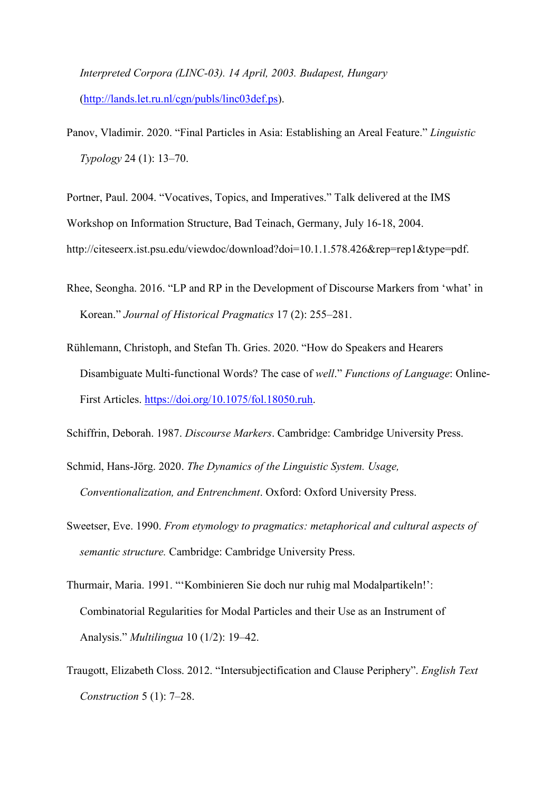*Interpreted Corpora (LINC-03). 14 April, 2003. Budapest, Hungary* [\(http://lands.let.ru.nl/cgn/publs/linc03def.ps\)](http://lands.let.ru.nl/cgn/publs/linc03def.ps).

Panov, Vladimir. 2020. "Final Particles in Asia: Establishing an Areal Feature." *Linguistic Typology* 24 (1): 13–70.

Portner, Paul. 2004. "Vocatives, Topics, and Imperatives." Talk delivered at the IMS Workshop on Information Structure, Bad Teinach, Germany, July 16-18, 2004. http://citeseerx.ist.psu.edu/viewdoc/download?doi=10.1.1.578.426&rep=rep1&type=pdf.

- Rhee, Seongha. 2016. "LP and RP in the Development of Discourse Markers from 'what' in Korean." *Journal of Historical Pragmatics* 17 (2): 255–281.
- Rühlemann, Christoph, and Stefan Th. Gries. 2020. "How do Speakers and Hearers Disambiguate Multi-functional Words? The case of *well*." *Functions of Language*: Online-First Articles. [https://doi.org/10.1075/fol.18050.ruh.](https://doi.org/10.1075/fol.18050.ruh)
- Schiffrin, Deborah. 1987. *Discourse Markers*. Cambridge: Cambridge University Press.
- Schmid, Hans-Jörg. 2020. *The Dynamics of the Linguistic System. Usage, Conventionalization, and Entrenchment*. Oxford: Oxford University Press.
- Sweetser, Eve. 1990. *From etymology to pragmatics: metaphorical and cultural aspects of semantic structure.* Cambridge: Cambridge University Press.
- Thurmair, Maria. 1991. "'Kombinieren Sie doch nur ruhig mal Modalpartikeln!': Combinatorial Regularities for Modal Particles and their Use as an Instrument of Analysis." *Multilingua* 10 (1/2): 19–42.
- Traugott, Elizabeth Closs. 2012. "Intersubjectification and Clause Periphery". *English Text Construction* 5 (1): 7–28.